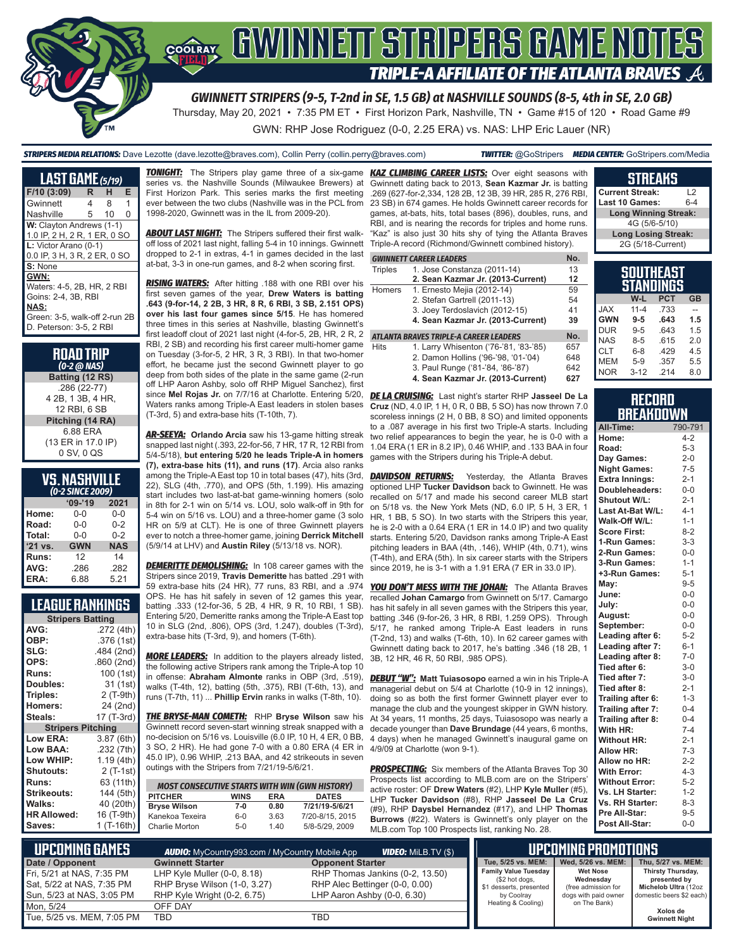

Thursday, May 20, 2021 • 7:35 PM ET • First Horizon Park, Nashville, TN • Game #15 of 120 • Road Game #9

GWN: RHP Jose Rodriguez (0-0, 2.25 ERA) vs. NAS: LHP Eric Lauer (NR)

*STRIPERS MEDIA RELATIONS:* Dave Lezotte (dave.lezotte@braves.com), Collin Perry (collin.perry@braves.com) *TWITTER:* @GoStripers *MEDIA CENTER:* GoStripers.com/Media

#### **LAST GAME** *(5/19)* **F/10 (3:09) R H E** Gwinnett 4 8 1 Nashville 5 10 0 **W:** Clayton Andrews (1-1) 1.0 IP, 2 H, 2 R, 1 ER, 0 SO **L:** Victor Arano (0-1) 0.0 IP, 3 H, 3 R, 2 ER, 0 SO **S:** None **GWN:** Waters: 4-5, 2B, HR, 2 RBI Goins: 2-4, 3B, RBI **NAS:** Green: 3-5, walk-off 2-run 2B D. Peterson: 3-5, 2 RBI

| <b>ROAD TRIP</b><br>$(0-2 \overline{\omega}$ NAS) |
|---------------------------------------------------|
| Batting (12 RS)                                   |
| .286 (22-77)                                      |
| 4 2B, 1 3B, 4 HR,                                 |
| 12 RBI, 6 SB                                      |
| Pitching (14 RA)                                  |
| 6.88 ERA                                          |
| (13 ER in 17.0 IP)                                |
| 0 SV, 0 QS                                        |

| <b>VS.NASHVILLE</b> |                  |  |
|---------------------|------------------|--|
|                     | (0-2 SINCE 2009) |  |

| (UZ JINCE ZUUS) |            |            |  |  |
|-----------------|------------|------------|--|--|
|                 | $09 - 19$  | 2021       |  |  |
| Home:           | 0-0        | $0 - 0$    |  |  |
| Road:           | $0 - 0$    | $0 - 2$    |  |  |
| Total:          | $0 - 0$    | $0 - 2$    |  |  |
| '21 vs.         | <b>GWN</b> | <b>NAS</b> |  |  |
| Runs:           | 12         | 14         |  |  |
| AVG:            | .286       | .282       |  |  |
| ERA:            | 6.88       | 5.21       |  |  |

### **LEAGUE RANKINGS**

| <b>Stripers Batting</b>  |            |
|--------------------------|------------|
| AVG:                     | .272 (4th) |
| OBP:                     | .376 (1st) |
| SLG:                     | .484 (2nd) |
| OPS:                     | .860 (2nd) |
| <b>Runs:</b>             | 100 (1st)  |
| Doubles:                 | 31 (1st)   |
| Triples:                 | 2 (T-9th)  |
| <b>Homers:</b>           | 24 (2nd)   |
| Steals:                  | 17 (T-3rd) |
| <b>Stripers Pitching</b> |            |
| <b>Low ERA:</b>          | 3.87 (6th) |
| Low BAA:                 | .232 (7th) |
| Low WHIP:                | 1.19 (4th) |
| Shutouts:                | 2 (T-1st)  |
| <b>Runs:</b>             | 63 (11th)  |
| Strikeouts:              | 144 (5th)  |
| Walks:                   | 40 (20th)  |
| <b>HR Allowed:</b>       | 16 (T-9th) |
| Saves:                   | 1 (T-16th) |
|                          |            |

**TONIGHT:** The Stripers play game three of a six-game series vs. the Nashville Sounds (Milwaukee Brewers) at First Horizon Park. This series marks the first meeting ever between the two clubs (Nashville was in the PCL from 1998-2020, Gwinnett was in the IL from 2009-20).

**ABOUT LAST NIGHT:** The Stripers suffered their first walkoff loss of 2021 last night, falling 5-4 in 10 innings. Gwinnett dropped to 2-1 in extras, 4-1 in games decided in the last at-bat, 3-3 in one-run games, and 8-2 when scoring first.

*RISING WATERS:* After hitting .188 with one RBI over his first seven games of the year, **Drew Waters is batting .643 (9-for-14, 2 2B, 3 HR, 8 R, 6 RBI, 3 SB, 2.151 OPS) over his last four games since 5/15**. He has homered three times in this series at Nashville, blasting Gwinnett's first leadoff clout of 2021 last night (4-for-5, 2B, HR, 2 R, 2 RBI, 2 SB) and recording his first career multi-homer game on Tuesday (3-for-5, 2 HR, 3 R, 3 RBI). In that two-homer effort, he became just the second Gwinnett player to go deep from both sides of the plate in the same game (2-run off LHP Aaron Ashby, solo off RHP Miguel Sanchez), first since **Mel Rojas Jr.** on 7/7/16 at Charlotte. Entering 5/20, Waters ranks among Triple-A East leaders in stolen bases (T-3rd, 5) and extra-base hits (T-10th, 7).

*AR-SEEYA:* **Orlando Arcia** saw his 13-game hitting streak snapped last night (.393, 22-for-56, 7 HR, 17 R, 12 RBI from 5/4-5/18), **but entering 5/20 he leads Triple-A in homers (7), extra-base hits (11), and runs (17)**. Arcia also ranks among the Triple-A East top 10 in total bases (47), hits (3rd, 22), SLG (4th, .770), and OPS (5th, 1.199). His amazing start includes two last-at-bat game-winning homers (solo in 8th for 2-1 win on 5/14 vs. LOU, solo walk-off in 9th for 5-4 win on 5/16 vs. LOU) and a three-homer game (3 solo HR on 5/9 at CLT). He is one of three Gwinnett players ever to notch a three-homer game, joining **Derrick Mitchell** (5/9/14 at LHV) and **Austin Riley** (5/13/18 vs. NOR).

**DEMERITTE DEMOLISHING:** In 108 career games with the Stripers since 2019, **Travis Demeritte** has batted .291 with 59 extra-base hits (24 HR), 77 runs, 83 RBI, and a .974 OPS. He has hit safely in seven of 12 games this year, batting .333 (12-for-36, 5 2B, 4 HR, 9 R, 10 RBI, 1 SB). Entering 5/20, Demeritte ranks among the Triple-A East top 10 in SLG (2nd, .806), OPS (3rd, 1.247), doubles (T-3rd), extra-base hits (T-3rd, 9), and homers (T-6th).

*MORE LEADERS:* In addition to the players already listed, the following active Stripers rank among the Triple-A top 10 in offense: **Abraham Almonte** ranks in OBP (3rd, .519), walks (T-4th, 12), batting (5th, .375), RBI (T-6th, 13), and runs (T-7th, 11) ... **Phillip Ervin** ranks in walks (T-8th, 10).

*THE BRYSE-MAN COMETH:* RHP **Bryse Wilson** saw his Gwinnett record seven-start winning streak snapped with a no-decision on 5/16 vs. Louisville (6.0 IP, 10 H, 4 ER, 0 BB, 3 SO, 2 HR). He had gone 7-0 with a 0.80 ERA (4 ER in 45.0 IP), 0.96 WHIP, .213 BAA, and 42 strikeouts in seven outings with the Stripers from 7/21/19-5/6/21.

| <b>MOST CONSECUTIVE STARTS WITH WIN (GWN HISTORY)</b> |             |            |                 |  |
|-------------------------------------------------------|-------------|------------|-----------------|--|
| <b>PITCHER</b>                                        | <b>WINS</b> | <b>FRA</b> | <b>DATES</b>    |  |
| <b>Bryse Wilson</b>                                   | 7-0         | 0.80       | 7/21/19-5/6/21  |  |
| Kanekoa Texeira                                       | 6-0         | 3.63       | 7/20-8/15, 2015 |  |
| Charlie Morton                                        | $5-0$       | 140        | 5/8-5/29, 2009  |  |

**KAZ CLIMBING CAREER LISTS:** Over eight seasons with Gwinnett dating back to 2013, **Sean Kazmar Jr.** is batting .269 (627-for-2,334, 128 2B, 12 3B, 39 HR, 285 R, 276 RBI, 23 SB) in 674 games. He holds Gwinnett career records for games, at-bats, hits, total bases (896), doubles, runs, and RBI, and is nearing the records for triples and home runs. "Kaz" is also just 30 hits shy of tying the Atlanta Braves Triple-A record (Richmond/Gwinnett combined history).

#### **GWINNETT CAREER LEADERS No.**

| <b>Triples</b> | 1. Jose Constanza (2011-14)       | 13           |
|----------------|-----------------------------------|--------------|
|                | 2. Sean Kazmar Jr. (2013-Current) | 12           |
| Homers         | 1. Ernesto Mejia (2012-14)        | 59           |
|                | 2. Stefan Gartrell (2011-13)      | 54           |
|                | 3. Joey Terdoslavich (2012-15)    | 41           |
|                | 4. Sean Kazmar Jr. (2013-Current) | 39           |
|                | BAUFC TRIBLE A CABEEB LEABERC     | $\mathbf{M}$ |

#### *ATLANTA BRAVES TRIPLE-A CAREER LEADERS* **No.**

| Hits | 1. Larry Whisenton ('76-'81, '83-'85) | 657 |
|------|---------------------------------------|-----|
|      | 2. Damon Hollins ('96-'98, '01-'04)   | 648 |
|      | 3. Paul Runge ('81-'84, '86-'87)      | 642 |

**4. Sean Kazmar Jr. (2013-Current) 627**

*DE LA CRUISING:* Last night's starter RHP **Jasseel De La Cruz** (ND, 4.0 IP, 1 H, 0 R, 0 BB, 5 SO) has now thrown 7.0 scoreless innings (2 H, 0 BB, 8 SO) and limited opponents to a .087 average in his first two Triple-A starts. Including two relief appearances to begin the year, he is 0-0 with a 1.04 ERA (1 ER in 8.2 IP), 0.46 WHIP, and .133 BAA in four games with the Stripers during his Triple-A debut.

**DAVIDSON RETURNS:** Yesterday, the Atlanta Braves optioned LHP **Tucker Davidson** back to Gwinnett. He was recalled on 5/17 and made his second career MLB start on 5/18 vs. the New York Mets (ND, 6.0 IP, 5 H, 3 ER, 1 HR, 1 BB, 5 SO). In two starts with the Stripers this year, he is 2-0 with a 0.64 ERA (1 ER in 14.0 IP) and two quality starts. Entering 5/20, Davidson ranks among Triple-A East pitching leaders in BAA (4th, .146), WHIP (4th, 0.71), wins (T-4th), and ERA (5th). In six career starts with the Stripers since 2019, he is 3-1 with a 1.91 ERA (7 ER in 33.0 IP).

*YOU DON'T MESS WITH THE JOHAN:* The Atlanta Braves recalled **Johan Camargo** from Gwinnett on 5/17. Camargo has hit safely in all seven games with the Stripers this year, batting .346 (9-for-26, 3 HR, 8 RBI, 1.259 OPS). Through 5/17, he ranked among Triple-A East leaders in runs (T-2nd, 13) and walks (T-6th, 10). In 62 career games with Gwinnett dating back to 2017, he's batting .346 (18 2B, 1 3B, 12 HR, 46 R, 50 RBI, .985 OPS).

*DEBUT "W":* **Matt Tuiasosopo** earned a win in his Triple-A managerial debut on 5/4 at Charlotte (10-9 in 12 innings), doing so as both the first former Gwinnett player ever to manage the club and the youngest skipper in GWN history. At 34 years, 11 months, 25 days, Tuiasosopo was nearly a decade younger than **Dave Brundage** (44 years, 6 months, 4 days) when he managed Gwinnett's inaugural game on 4/9/09 at Charlotte (won 9-1).

**PROSPECTING:** Six members of the Atlanta Braves Top 30 Prospects list according to MLB.com are on the Stripers' active roster: OF **Drew Waters** (#2), LHP **Kyle Muller** (#5), LHP **Tucker Davidson** (#8), RHP **Jasseel De La Cruz** (#9), RHP **Daysbel Hernandez** (#17), and LHP **Thomas Burrows** (#22). Waters is Gwinnett's only player on the MLB.com Top 100 Prospects list, ranking No. 28.

#### **Current Streak:** L2 **Last 10 Games: Long Winning Streak:** 4G (5/6-5/10) **Long Losing Streak:** 2G (5/18-Current) **SOUTHEAST**

**STREAKS**

|            |          | SUU IHEAST<br>STANDINGS |           |
|------------|----------|-------------------------|-----------|
|            | $W-L$    | <b>PCT</b>              | <b>GB</b> |
| <b>XAL</b> | $11 - 4$ | .733                    |           |
| <b>GWN</b> | $9 - 5$  | .643                    | 1.5       |
| <b>DUR</b> | $9 - 5$  | .643                    | 1.5       |
| NAS.       | $8 - 5$  | .615                    | 20        |
| <b>CLT</b> | $6 - 8$  | .429                    | 4.5       |
| <b>MEM</b> | $5-9$    | .357                    | 5.5       |
| <b>NOR</b> | $3 - 12$ | .214                    | 8.0       |

#### **RECORD BREAKDOWN**

| All-Time:             | 790-791 |
|-----------------------|---------|
| Home:                 | $4 - 2$ |
| Road:                 | $5 - 3$ |
| Day Games:            | $2 - 0$ |
| <b>Night Games:</b>   | $7 - 5$ |
| <b>Extra Innings:</b> | $2 - 1$ |
| Doubleheaders:        | $0-0$   |
| Shutout W/L:          | $2 - 1$ |
| Last At-Bat W/L:      | $4 - 1$ |
| Walk-Off W/L:         | $1 - 1$ |
| <b>Score First:</b>   | $8 - 2$ |
| 1-Run Games:          | $3 - 3$ |
| 2-Run Games:          | $0-0$   |
| 3-Run Games:          | $1 - 1$ |
| +3-Run Games:         | $5 - 1$ |
| May:                  | $9 - 5$ |
| June:                 | $0-0$   |
| July:                 | $0-0$   |
| August:               | $0-0$   |
| September:            | $0 - 0$ |
| Leading after 6:      | $5 - 2$ |
| Leading after 7:      | $6 - 1$ |
| Leading after 8:      | $7-0$   |
| Tied after 6:         | $3 - 0$ |
| Tied after 7:         | $3 - 0$ |
| Tied after 8:         | $2 - 1$ |
| Trailing after 6:     | $1 - 3$ |
| Trailing after 7:     | $0 - 4$ |
| Trailing after 8:     | $0 - 4$ |
| With HR:              | $7 - 4$ |
| <b>Without HR:</b>    | $2 - 1$ |
| <b>Allow HR:</b>      | $7-3$   |
| Allow no HR:          | $2 - 2$ |
| <b>With Error:</b>    | $4 - 3$ |
| <b>Without Error:</b> | $5 - 2$ |
| Vs. LH Starter:       | $1 - 2$ |
| Vs. RH Starter:       | $8 - 3$ |
| Pre All-Star:         | $9 - 5$ |
| Post All-Star:        | $0 - 0$ |

| L UPCOMING GAMES I         | <b>AUDIO:</b> MyCountry993.com / MyCountry Mobile App | <b>VIDEO:</b> MILB.TV (\$)      |                                           | UPCOMING PROMOTIONS <b>'</b>     |                                      |
|----------------------------|-------------------------------------------------------|---------------------------------|-------------------------------------------|----------------------------------|--------------------------------------|
| Date / Opponent            | <b>Gwinnett Starter</b>                               | <b>Opponent Starter</b>         | Tue, 5/25 vs. MEM:                        | Wed. 5/26 vs. MEM:               | Thu, 5/27 vs. MEM:                   |
| Fri, 5/21 at NAS, 7:35 PM  | LHP Kyle Muller $(0-0, 8.18)$                         | RHP Thomas Jankins (0-2, 13.50) | <b>Family Value Tuesday</b>               | <b>Wet Nose</b>                  | Thirsty Thursday,                    |
| Sat, 5/22 at NAS, 7:35 PM  | RHP Bryse Wilson (1-0, 3.27)                          | RHP Alec Bettinger (0-0, 0.00)  | (\$2 hot dogs,<br>\$1 desserts, presented | Wednesdav<br>(free admission for | presented by<br>Michelob Ultra (12oz |
| Sun, 5/23 at NAS, 3:05 PM  | RHP Kyle Wright (0-2, 6.75)                           | LHP Aaron Ashby (0-0, 6.30)     | by Coolray                                | dogs with paid owner             | domestic beers \$2 each)             |
| Mon. 5/24                  | OFF DAY                                               |                                 | Heating & Cooling)                        | on The Bank)                     | Xolos de                             |
| Tue, 5/25 vs. MEM, 7:05 PM | <b>TBD</b>                                            | TBD                             |                                           |                                  | <b>Gwinnett Night</b>                |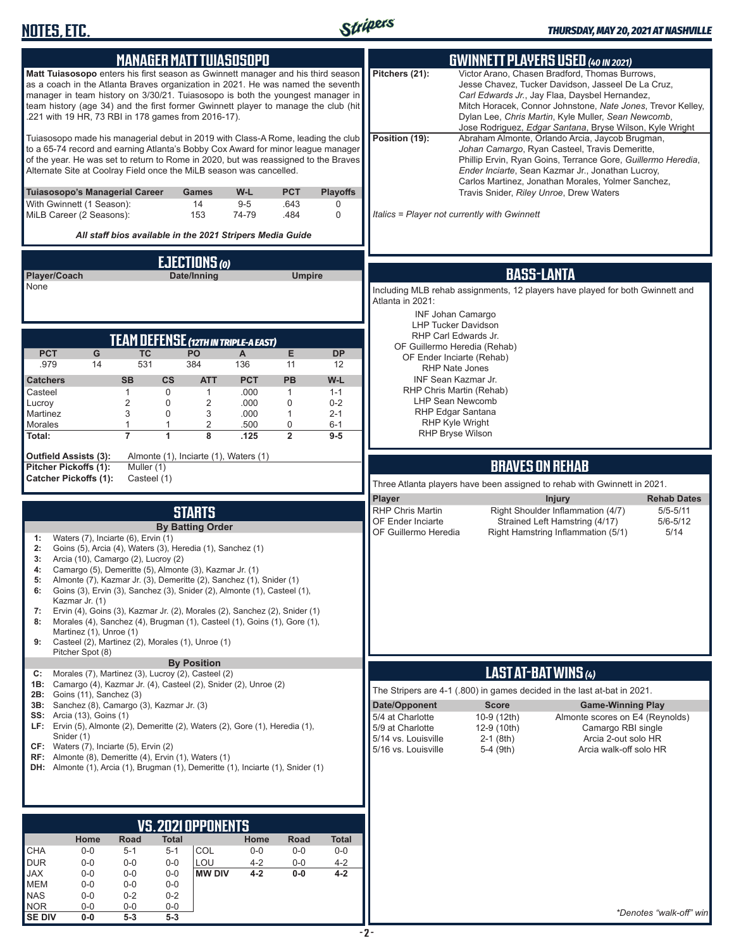

| <b>MANAGER MATT TUIASOSOPO</b>                                                                                                                                                                                                                                                                                                                                                                     | <b>GWINNETT PLAYERS USED (40 IN 2021)</b>                                                                                                                                                                                                                                                                                                                  |
|----------------------------------------------------------------------------------------------------------------------------------------------------------------------------------------------------------------------------------------------------------------------------------------------------------------------------------------------------------------------------------------------------|------------------------------------------------------------------------------------------------------------------------------------------------------------------------------------------------------------------------------------------------------------------------------------------------------------------------------------------------------------|
| Matt Tuiasosopo enters his first season as Gwinnett manager and his third season<br>as a coach in the Atlanta Braves organization in 2021. He was named the seventh<br>manager in team history on 3/30/21. Tuiasosopo is both the youngest manager in<br>team history (age 34) and the first former Gwinnett player to manage the club (hit<br>.221 with 19 HR, 73 RBI in 178 games from 2016-17). | Victor Arano, Chasen Bradford, Thomas Burrows,<br>Pitchers (21):<br>Jesse Chavez, Tucker Davidson, Jasseel De La Cruz,<br>Carl Edwards Jr., Jay Flaa, Daysbel Hernandez,<br>Mitch Horacek, Connor Johnstone, Nate Jones, Trevor Kelley,<br>Dylan Lee, Chris Martin, Kyle Muller, Sean Newcomb,<br>Jose Rodriguez, Edgar Santana, Bryse Wilson, Kyle Wright |
| Tuiasosopo made his managerial debut in 2019 with Class-A Rome, leading the club<br>to a 65-74 record and earning Atlanta's Bobby Cox Award for minor league manager<br>of the year. He was set to return to Rome in 2020, but was reassigned to the Braves<br>Alternate Site at Coolray Field once the MiLB season was cancelled.                                                                 | Position (19):<br>Abraham Almonte, Orlando Arcia, Jaycob Brugman,<br>Johan Camargo, Ryan Casteel, Travis Demeritte,<br>Phillip Ervin, Ryan Goins, Terrance Gore, Guillermo Heredia,<br>Ender Inciarte, Sean Kazmar Jr., Jonathan Lucroy,<br>Carlos Martinez, Jonathan Morales, Yolmer Sanchez,                                                             |
| Tuiasosopo's Managerial Career<br>W-L<br><b>PCT</b><br><b>Playoffs</b><br>Games<br>With Gwinnett (1 Season):<br>14<br>$9-5$<br>.643<br>0<br>153<br>74-79<br>.484<br>$\mathbf 0$<br>MiLB Career (2 Seasons):                                                                                                                                                                                        | Travis Snider, Riley Unroe, Drew Waters<br>Italics = Player not currently with Gwinnett                                                                                                                                                                                                                                                                    |
| All staff bios available in the 2021 Stripers Media Guide                                                                                                                                                                                                                                                                                                                                          |                                                                                                                                                                                                                                                                                                                                                            |
| <b>EJECTIONS</b> (0)                                                                                                                                                                                                                                                                                                                                                                               |                                                                                                                                                                                                                                                                                                                                                            |
| Player/Coach<br>Date/Inning<br><b>Umpire</b><br>None                                                                                                                                                                                                                                                                                                                                               | <b>BASS-LANTA</b><br>Including MLB rehab assignments, 12 players have played for both Gwinnett and                                                                                                                                                                                                                                                         |
|                                                                                                                                                                                                                                                                                                                                                                                                    | Atlanta in 2021:                                                                                                                                                                                                                                                                                                                                           |
|                                                                                                                                                                                                                                                                                                                                                                                                    | <b>INF Johan Camargo</b><br><b>LHP Tucker Davidson</b>                                                                                                                                                                                                                                                                                                     |
| TEAM DEFENSE (12TH IN TRIPLE-A EAST)                                                                                                                                                                                                                                                                                                                                                               | RHP Carl Edwards Jr.<br>OF Guillermo Heredia (Rehab)                                                                                                                                                                                                                                                                                                       |
| <b>PCT</b><br><b>TC</b><br>E<br>G<br><b>PO</b><br><b>DP</b><br>A<br>531<br>384<br>.979<br>14<br>136<br>11<br>12                                                                                                                                                                                                                                                                                    | OF Ender Inciarte (Rehab)<br><b>RHP Nate Jones</b>                                                                                                                                                                                                                                                                                                         |
| <b>PCT</b><br>PB<br><b>SB</b><br>$\mathsf{cs}$<br><b>ATT</b><br>W-L<br><b>Catchers</b>                                                                                                                                                                                                                                                                                                             | INF Sean Kazmar Jr.<br>RHP Chris Martin (Rehab)                                                                                                                                                                                                                                                                                                            |
| .000<br>Casteel<br>$\mathbf{1}$<br>0<br>$\mathbf{1}$<br>$\mathbf{1}$<br>$1 - 1$<br>$\overline{2}$<br>$\overline{2}$<br>$\mathbf 0$<br>Lucroy<br>0<br>.000<br>$0 - 2$                                                                                                                                                                                                                               | <b>LHP Sean Newcomb</b>                                                                                                                                                                                                                                                                                                                                    |
| 3<br>0<br>3<br>.000<br>$\mathbf{1}$<br>Martinez<br>$2 - 1$<br>1<br>2<br>$\mathbf 0$<br><b>Morales</b><br>1<br>.500<br>$6 - 1$                                                                                                                                                                                                                                                                      | RHP Edgar Santana<br>RHP Kyle Wright                                                                                                                                                                                                                                                                                                                       |
| $\overline{7}$<br>$\overline{2}$<br>1<br>8<br>Total:<br>.125<br>$9 - 5$                                                                                                                                                                                                                                                                                                                            | RHP Bryse Wilson                                                                                                                                                                                                                                                                                                                                           |
| <b>Outfield Assists (3):</b><br>Almonte (1), Inciarte (1), Waters (1)<br>Pitcher Pickoffs (1):<br>Muller (1)                                                                                                                                                                                                                                                                                       | <b>BRAVES ON REHAB</b>                                                                                                                                                                                                                                                                                                                                     |
| <b>Catcher Pickoffs (1):</b><br>Casteel (1)                                                                                                                                                                                                                                                                                                                                                        | Three Atlanta players have been assigned to rehab with Gwinnett in 2021.                                                                                                                                                                                                                                                                                   |
| <b>STARTS</b>                                                                                                                                                                                                                                                                                                                                                                                      | Player<br><b>Injury</b><br><b>Rehab Dates</b><br>Right Shoulder Inflammation (4/7)<br><b>RHP Chris Martin</b><br>$5/5 - 5/11$                                                                                                                                                                                                                              |
| <b>By Batting Order</b>                                                                                                                                                                                                                                                                                                                                                                            | OF Ender Inciarte<br>Strained Left Hamstring (4/17)<br>$5/6 - 5/12$<br>OF Guillermo Heredia<br>Right Hamstring Inflammation (5/1)<br>5/14                                                                                                                                                                                                                  |
| Waters (7), Inciarte (6), Ervin (1)<br>1:                                                                                                                                                                                                                                                                                                                                                          |                                                                                                                                                                                                                                                                                                                                                            |
| Goins (5), Arcia (4), Waters (3), Heredia (1), Sanchez (1)<br>2:                                                                                                                                                                                                                                                                                                                                   |                                                                                                                                                                                                                                                                                                                                                            |
| Arcia (10), Camargo (2), Lucroy (2)<br>3:<br>4:                                                                                                                                                                                                                                                                                                                                                    |                                                                                                                                                                                                                                                                                                                                                            |
| Camargo (5), Demeritte (5), Almonte (3), Kazmar Jr. (1)<br>Almonte (7), Kazmar Jr. (3), Demeritte (2), Sanchez (1), Snider (1)<br>5:                                                                                                                                                                                                                                                               |                                                                                                                                                                                                                                                                                                                                                            |
| Goins (3), Ervin (3), Sanchez (3), Snider (2), Almonte (1), Casteel (1),<br>6:<br>Kazmar Jr. (1)                                                                                                                                                                                                                                                                                                   |                                                                                                                                                                                                                                                                                                                                                            |
| Ervin (4), Goins (3), Kazmar Jr. (2), Morales (2), Sanchez (2), Snider (1)<br>7:<br>Morales (4), Sanchez (4), Brugman (1), Casteel (1), Goins (1), Gore (1),<br>8:<br>Martinez (1), Unroe (1)<br>Casteel (2), Martinez (2), Morales (1), Unroe (1)<br>9:                                                                                                                                           |                                                                                                                                                                                                                                                                                                                                                            |
| Pitcher Spot (8)<br><b>By Position</b>                                                                                                                                                                                                                                                                                                                                                             |                                                                                                                                                                                                                                                                                                                                                            |
| Morales (7), Martinez (3), Lucroy (2), Casteel (2)<br>C:<br>1B: Camargo (4), Kazmar Jr. (4), Casteel (2), Snider (2), Unroe (2)                                                                                                                                                                                                                                                                    | LAST AT-BAT WINS (4)<br>The Stripers are 4-1 (.800) in games decided in the last at-bat in 2021.                                                                                                                                                                                                                                                           |
| <b>2B:</b> Goins (11), Sanchez (3)<br>3B: Sanchez (8), Camargo (3), Kazmar Jr. (3)                                                                                                                                                                                                                                                                                                                 | Date/Opponent<br><b>Score</b><br><b>Game-Winning Play</b>                                                                                                                                                                                                                                                                                                  |
| <b>SS:</b> Arcia (13), Goins (1)<br>LF: Ervin (5), Almonte (2), Demeritte (2), Waters (2), Gore (1), Heredia (1),                                                                                                                                                                                                                                                                                  | 5/4 at Charlotte<br>10-9 (12th)<br>Almonte scores on E4 (Reynolds)<br>5/9 at Charlotte<br>Camargo RBI single<br>12-9 (10th)                                                                                                                                                                                                                                |
| Snider (1)<br>CF: Waters (7), Inciarte (5), Ervin (2)                                                                                                                                                                                                                                                                                                                                              | 5/14 vs. Louisville<br>Arcia 2-out solo HR<br>$2-1$ (8th)<br>5/16 vs. Louisville<br>Arcia walk-off solo HR<br>5-4 (9th)                                                                                                                                                                                                                                    |
| RF: Almonte (8), Demeritte (4), Ervin (1), Waters (1)<br><b>DH:</b> Almonte (1), Arcia (1), Brugman (1), Demeritte (1), Inciarte (1), Snider (1)                                                                                                                                                                                                                                                   |                                                                                                                                                                                                                                                                                                                                                            |
|                                                                                                                                                                                                                                                                                                                                                                                                    |                                                                                                                                                                                                                                                                                                                                                            |
|                                                                                                                                                                                                                                                                                                                                                                                                    |                                                                                                                                                                                                                                                                                                                                                            |
| VS. 2021 OPPONENTS                                                                                                                                                                                                                                                                                                                                                                                 |                                                                                                                                                                                                                                                                                                                                                            |
| Home<br>Road<br><b>Total</b><br>Home<br>Road<br><b>Total</b><br><b>CHA</b><br>COL<br>$0-0$<br>$5 - 1$<br>$5 - 1$<br>$0-0$<br>$0-0$<br>$0-0$                                                                                                                                                                                                                                                        |                                                                                                                                                                                                                                                                                                                                                            |
| LOU<br><b>DUR</b><br>$0-0$<br>$4 - 2$<br>$4 - 2$<br>$0-0$<br>$0-0$<br>$0-0$                                                                                                                                                                                                                                                                                                                        |                                                                                                                                                                                                                                                                                                                                                            |
| <b>JAX</b><br>$0-0$<br><b>MW DIV</b><br>$4 - 2$<br>$0-0$<br>$4 - 2$<br>$0-0$<br>$0-0$<br><b>MEM</b><br>$0-0$<br>$0-0$<br>$0-0$                                                                                                                                                                                                                                                                     |                                                                                                                                                                                                                                                                                                                                                            |
| $0 - 0$<br>NAS<br>$0 - 2$<br>$0 - 2$<br><b>NOR</b><br>$0-0$<br>$0-0$<br>$0-0$<br><b>SE DIV</b><br>$0-0$<br>$5 - 3$<br>$5-3$                                                                                                                                                                                                                                                                        | *Denotes "walk-off" win                                                                                                                                                                                                                                                                                                                                    |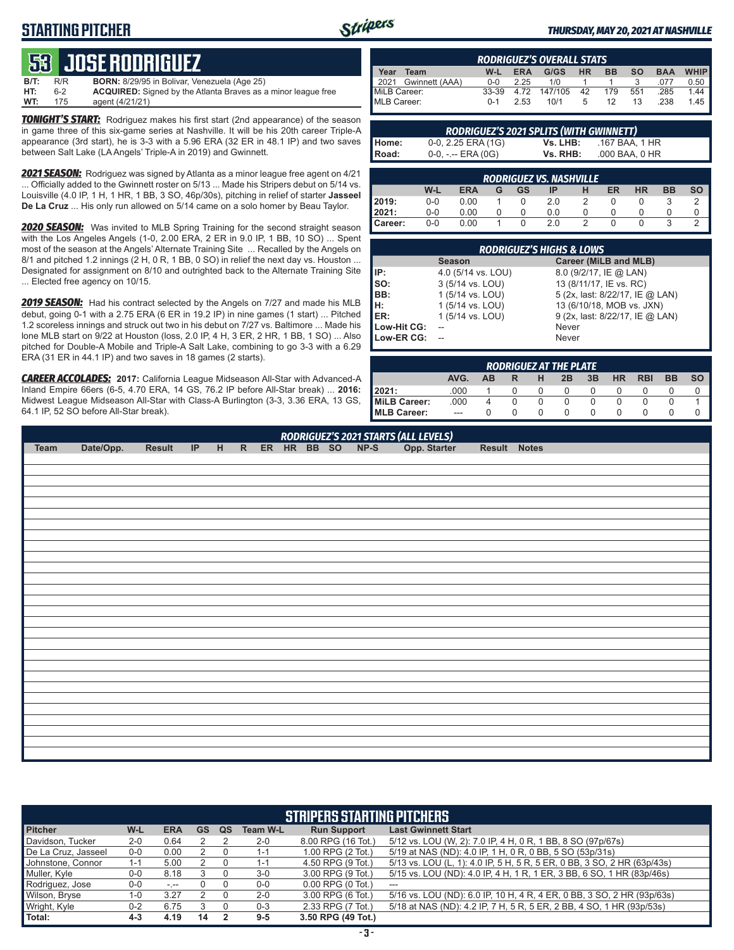# **STARTING PITCHER**



#### *THURSDAY, MAY 20, 2021 AT NASHVILLE*

# **53****JOSE RODRIGUEZ**

| B/T: | R/R | <b>BORN:</b> 8/29/95 in Bolivar, Venezuela (Age 25)                  |
|------|-----|----------------------------------------------------------------------|
| HT:  | հ-2 | <b>ACQUIRED:</b> Signed by the Atlanta Braves as a minor league free |
| WT:  | 175 | agent (4/21/21)                                                      |

*TONIGHT'S START:* Rodriguez makes his first start (2nd appearance) of the season in game three of this six-game series at Nashville. It will be his 20th career Triple-A appearance (3rd start), he is 3-3 with a 5.96 ERA (32 ER in 48.1 IP) and two saves between Salt Lake (LA Angels' Triple-A in 2019) and Gwinnett.

*2021 SEASON:* Rodriguez was signed by Atlanta as a minor league free agent on 4/21 ... Officially added to the Gwinnett roster on 5/13 ... Made his Stripers debut on 5/14 vs. Louisville (4.0 IP, 1 H, 1 HR, 1 BB, 3 SO, 46p/30s), pitching in relief of starter **Jasseel De La Cruz** ... His only run allowed on 5/14 came on a solo homer by Beau Taylor.

**2020 SEASON:** Was invited to MLB Spring Training for the second straight season with the Los Angeles Angels (1-0, 2.00 ERA, 2 ER in 9.0 IP, 1 BB, 10 SO) ... Spent most of the season at the Angels' Alternate Training Site ... Recalled by the Angels on 8/1 and pitched 1.2 innings (2 H, 0 R, 1 BB, 0 SO) in relief the next day vs. Houston ... Designated for assignment on 8/10 and outrighted back to the Alternate Training Site ... Elected free agency on 10/15.

*2019 SEASON:* Had his contract selected by the Angels on 7/27 and made his MLB debut, going 0-1 with a 2.75 ERA (6 ER in 19.2 IP) in nine games (1 start) ... Pitched 1.2 scoreless innings and struck out two in his debut on 7/27 vs. Baltimore ... Made his lone MLB start on 9/22 at Houston (loss, 2.0 IP, 4 H, 3 ER, 2 HR, 1 BB, 1 SO) ... Also pitched for Double-A Mobile and Triple-A Salt Lake, combining to go 3-3 with a 6.29 ERA (31 ER in 44.1 IP) and two saves in 18 games (2 starts).

*CAREER ACCOLADES:* **2017:** California League Midseason All-Star with Advanced-A Inland Empire 66ers (6-5, 4.70 ERA, 14 GS, 76.2 IP before All-Star break) ... **2016:** Midwest League Midseason All-Star with Class-A Burlington (3-3, 3.36 ERA, 13 GS, 64.1 IP, 52 SO before All-Star break).

|      | <b>RODRIGUEZ'S OVERALL STATS</b>                           |            |      |                           |  |    |     |      |      |  |  |  |  |  |  |
|------|------------------------------------------------------------|------------|------|---------------------------|--|----|-----|------|------|--|--|--|--|--|--|
| Year | <b>WHIP</b><br>W-L ERA G/GS HR BB SO<br>Team<br><b>BAA</b> |            |      |                           |  |    |     |      |      |  |  |  |  |  |  |
|      | 2021 Gwinnett (AAA)                                        | <u>ດ-ດ</u> | 2.25 | 1/0                       |  |    |     | .077 | 0.50 |  |  |  |  |  |  |
|      | MiLB Career:<br>MLB Career:                                |            |      | 33-39 4.72 147/105 42 179 |  |    | 551 | .285 | 1.44 |  |  |  |  |  |  |
|      |                                                            | በ-1        | 2.53 | 10/1 5                    |  | 12 | 13  | .238 | 1.45 |  |  |  |  |  |  |

|         | RODRIGUEZ'S 2021 SPLITS (WITH GWINNETT) |          |                |
|---------|-----------------------------------------|----------|----------------|
| l Home: | $0-0$ , 2.25 ERA (1G)                   | Vs. LHB: | .167 BAA. 1 HR |
| l Road: | $0-0, - -$ ERA (0G)                     | Vs. RHB: | .000 BAA. 0 HR |

|                | <b>RODRIGUEZ VS. NASHVILLE</b> |            |   |    |     |  |    |           |           |           |  |  |  |  |  |
|----------------|--------------------------------|------------|---|----|-----|--|----|-----------|-----------|-----------|--|--|--|--|--|
|                | W-L                            | <b>ERA</b> | G | GS | IP  |  | ER | <b>HR</b> | <b>BB</b> | <b>SO</b> |  |  |  |  |  |
|                | $0 - 0$                        | 0.00       |   |    | 2.0 |  |    |           |           |           |  |  |  |  |  |
| 2019:<br>2021: | $0 - 0$                        | 0.00       |   |    | 0.0 |  |    |           |           |           |  |  |  |  |  |
| Career:        | $0 - 0$                        | 0.00       |   |    | 2.0 |  |    |           | ว         |           |  |  |  |  |  |

|                   | <b>RODRIGUEZ'S HIGHS &amp; LOWS</b> |                                 |
|-------------------|-------------------------------------|---------------------------------|
|                   | <b>Season</b>                       | Career (MiLB and MLB)           |
| IP:<br>SO:<br>BB: | 4.0 (5/14 vs. LOU)                  | 8.0 (9/2/17, IE @ LAN)          |
|                   | 3 (5/14 vs. LOU)                    | 13 (8/11/17, IE vs. RC)         |
|                   | 1 (5/14 vs. LOU)                    | 5 (2x, last: 8/22/17, IE @ LAN) |
| H:<br>ER:         | 1 (5/14 vs. LOU)                    | 13 (6/10/18, MOB vs. JXN)       |
|                   | 1 (5/14 vs. LOU)                    | 9 (2x, last: 8/22/17, IE @ LAN) |
| Low-Hit CG:       |                                     | Never                           |
| Low-ER CG:        |                                     | Never                           |

|                     | <b>RODRIGUEZ AT THE PLATE</b>                                                                |   |  |  |  |  |  |  |  |  |  |  |  |  |  |
|---------------------|----------------------------------------------------------------------------------------------|---|--|--|--|--|--|--|--|--|--|--|--|--|--|
|                     | AVG.<br><b>HR</b><br>3B<br><b>BB</b><br><b>RBI</b><br><b>SO</b><br><b>AB</b><br>2B<br>н<br>R |   |  |  |  |  |  |  |  |  |  |  |  |  |  |
| 12021:              | .000                                                                                         |   |  |  |  |  |  |  |  |  |  |  |  |  |  |
| MiLB Career:        | .000                                                                                         | 4 |  |  |  |  |  |  |  |  |  |  |  |  |  |
| <b>IMLB Career:</b> | $---$                                                                                        |   |  |  |  |  |  |  |  |  |  |  |  |  |  |

|      | RODRIGUEZ'S 2021 STARTS (ALL LEVELS) |        |  |  |  |  |  |  |  |  |              |              |  |  |
|------|--------------------------------------|--------|--|--|--|--|--|--|--|--|--------------|--------------|--|--|
| Team | Date/Opp.                            | Result |  |  |  |  |  |  |  |  | Opp. Starter | Result Notes |  |  |
|      |                                      |        |  |  |  |  |  |  |  |  |              |              |  |  |
|      |                                      |        |  |  |  |  |  |  |  |  |              |              |  |  |
|      |                                      |        |  |  |  |  |  |  |  |  |              |              |  |  |
|      |                                      |        |  |  |  |  |  |  |  |  |              |              |  |  |
|      |                                      |        |  |  |  |  |  |  |  |  |              |              |  |  |
|      |                                      |        |  |  |  |  |  |  |  |  |              |              |  |  |
|      |                                      |        |  |  |  |  |  |  |  |  |              |              |  |  |
|      |                                      |        |  |  |  |  |  |  |  |  |              |              |  |  |
|      |                                      |        |  |  |  |  |  |  |  |  |              |              |  |  |
|      |                                      |        |  |  |  |  |  |  |  |  |              |              |  |  |
|      |                                      |        |  |  |  |  |  |  |  |  |              |              |  |  |
|      |                                      |        |  |  |  |  |  |  |  |  |              |              |  |  |
|      |                                      |        |  |  |  |  |  |  |  |  |              |              |  |  |
|      |                                      |        |  |  |  |  |  |  |  |  |              |              |  |  |
|      |                                      |        |  |  |  |  |  |  |  |  |              |              |  |  |
|      |                                      |        |  |  |  |  |  |  |  |  |              |              |  |  |
|      |                                      |        |  |  |  |  |  |  |  |  |              |              |  |  |
|      |                                      |        |  |  |  |  |  |  |  |  |              |              |  |  |
|      |                                      |        |  |  |  |  |  |  |  |  |              |              |  |  |
|      |                                      |        |  |  |  |  |  |  |  |  |              |              |  |  |
|      |                                      |        |  |  |  |  |  |  |  |  |              |              |  |  |
|      |                                      |        |  |  |  |  |  |  |  |  |              |              |  |  |
|      |                                      |        |  |  |  |  |  |  |  |  |              |              |  |  |
|      |                                      |        |  |  |  |  |  |  |  |  |              |              |  |  |
|      |                                      |        |  |  |  |  |  |  |  |  |              |              |  |  |
|      |                                      |        |  |  |  |  |  |  |  |  |              |              |  |  |

|                     | <b>STRIPERS STARTING PITCHERS</b>                                                                                      |            |    |    |                 |                       |                                                                        |  |  |  |  |  |  |  |  |
|---------------------|------------------------------------------------------------------------------------------------------------------------|------------|----|----|-----------------|-----------------------|------------------------------------------------------------------------|--|--|--|--|--|--|--|--|
| <b>Pitcher</b>      | W-L                                                                                                                    | <b>ERA</b> | GS | QS | <b>Team W-L</b> | <b>Run Support</b>    | <b>Last Gwinnett Start</b>                                             |  |  |  |  |  |  |  |  |
| Davidson, Tucker    | $2 - 0$                                                                                                                | 0.64       |    |    | $2 - 0$         | 8.00 RPG (16 Tot.)    | 5/12 vs. LOU (W, 2): 7.0 IP, 4 H, 0 R, 1 BB, 8 SO (97p/67s)            |  |  |  |  |  |  |  |  |
| De La Cruz, Jasseel | 5/19 at NAS (ND): 4.0 IP, 1 H, 0 R, 0 BB, 5 SO (53p/31s)<br>1.00 RPG (2 Tot.)<br>0.00<br>$0-0$<br>$1 - 1$              |            |    |    |                 |                       |                                                                        |  |  |  |  |  |  |  |  |
| Johnstone, Connor   | 5/13 vs. LOU (L, 1): 4.0 IP, 5 H, 5 R, 5 ER, 0 BB, 3 SO, 2 HR (63p/43s)<br>4.50 RPG (9 Tot.)<br>5.00<br>1-1<br>$1 - 1$ |            |    |    |                 |                       |                                                                        |  |  |  |  |  |  |  |  |
| Muller, Kyle        | $0-0$                                                                                                                  | 8.18       |    |    | $3-0$           | 3.00 RPG (9 Tot.)     | 5/15 vs. LOU (ND): 4.0 IP, 4 H, 1 R, 1 ER, 3 BB, 6 SO, 1 HR (83p/46s)  |  |  |  |  |  |  |  |  |
| Rodriguez, Jose     | $0-0$                                                                                                                  | $-1 - 1$   |    |    | $0-0$           | $0.00$ RPG $(0$ Tot.) | ---                                                                    |  |  |  |  |  |  |  |  |
| Wilson, Bryse       | $1 - 0$                                                                                                                | 3.27       |    |    | $2 - 0$         | 3.00 RPG (6 Tot.)     | 5/16 vs. LOU (ND): 6.0 IP, 10 H, 4 R, 4 ER, 0 BB, 3 SO, 2 HR (93p/63s) |  |  |  |  |  |  |  |  |
| Wright, Kyle        | $0 - 2$                                                                                                                | 6.75       |    |    | $0 - 3$         | 2.33 RPG (7 Tot.)     | 5/18 at NAS (ND): 4.2 IP, 7 H, 5 R, 5 ER, 2 BB, 4 SO, 1 HR (93p/53s)   |  |  |  |  |  |  |  |  |
| Total:              | 4-3                                                                                                                    | 4.19       | 14 |    | $9-5$           | 3.50 RPG (49 Tot.)    |                                                                        |  |  |  |  |  |  |  |  |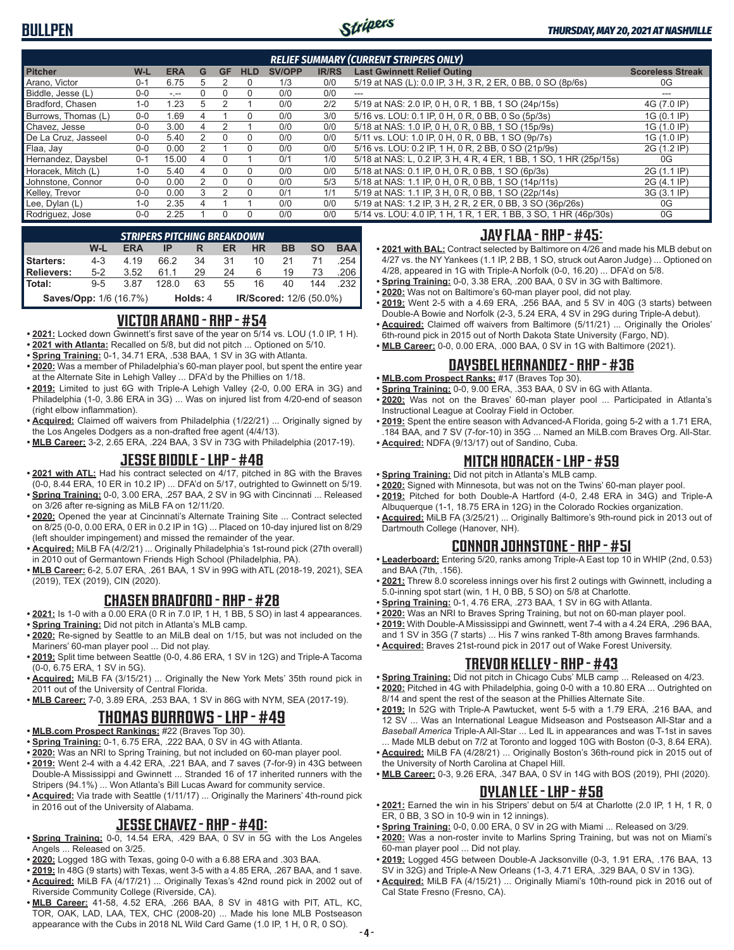

| <b>RELIEF SUMMARY (CURRENT STRIPERS ONLY)</b> |         |            |   |           |            |               |              |                                                                    |                         |  |  |  |  |
|-----------------------------------------------|---------|------------|---|-----------|------------|---------------|--------------|--------------------------------------------------------------------|-------------------------|--|--|--|--|
| <b>Pitcher</b>                                | W-L     | <b>ERA</b> | G | <b>GF</b> | <b>HLD</b> | <b>SV/OPP</b> | <b>IR/RS</b> | <b>Last Gwinnett Relief Outing</b>                                 | <b>Scoreless Streak</b> |  |  |  |  |
| Arano, Victor                                 | $0 - 1$ | 6.75       |   |           | 0          | 1/3           | 0/0          | 5/19 at NAS (L): 0.0 IP, 3 H, 3 R, 2 ER, 0 BB, 0 SO (8p/6s)        | 0G                      |  |  |  |  |
| Biddle, Jesse (L)                             | $0 - 0$ | سيرس       |   |           |            | 0/0           | 0/0          | $- - -$                                                            |                         |  |  |  |  |
| Bradford, Chasen                              | $1 - 0$ | 1.23       | 5 |           |            | 0/0           | 2/2          | 5/19 at NAS: 2.0 IP, 0 H, 0 R, 1 BB, 1 SO (24p/15s)                | 4G (7.0 IP)             |  |  |  |  |
| Burrows, Thomas (L)                           | $0 - 0$ | 1.69       |   |           |            | 0/0           | 3/0          | 5/16 vs. LOU: 0.1 IP, 0 H, 0 R, 0 BB, 0 So (5p/3s)                 | 1G (0.1 IP)             |  |  |  |  |
| Chavez, Jesse                                 | $0 - 0$ | 3.00       | 4 |           |            | 0/0           | 0/0          | 5/18 at NAS: 1.0 IP, 0 H, 0 R, 0 BB, 1 SO (15p/9s)                 | 1G (1.0 IP)             |  |  |  |  |
| De La Cruz. Jasseel                           | $0 - 0$ | 5.40       |   |           | 0          | 0/0           | 0/0          | 5/11 vs. LOU: 1.0 IP, 0 H, 0 R, 0 BB, 1 SO (9p/7s)                 | 1G (1.0 IP)             |  |  |  |  |
| Flaa, Jay                                     | $0 - 0$ | 0.00       |   |           |            | 0/0           | 0/0          | 5/16 vs. LOU: 0.2 IP, 1 H, 0 R, 2 BB, 0 SO (21p/9s)                | 2G (1.2 IP)             |  |  |  |  |
| Hernandez, Daysbel                            | $0 - 1$ | 15.00      | 4 | $\Omega$  |            | 0/1           | 1/0          | 5/18 at NAS: L, 0.2 IP, 3 H, 4 R, 4 ER, 1 BB, 1 SO, 1 HR (25p/15s) | 0G                      |  |  |  |  |
| Horacek, Mitch (L)                            | $1 - 0$ | 5.40       |   |           | 0          | 0/0           | 0/0          | 5/18 at NAS: 0.1 IP, 0 H, 0 R, 0 BB, 1 SO (6p/3s)                  | 2G (1.1 IP)             |  |  |  |  |
| Johnstone, Connor                             | $0 - 0$ | 0.00       |   |           |            | 0/0           | 5/3          | 5/18 at NAS: 1.1 IP, 0 H, 0 R, 0 BB, 1 SO (14p/11s)                | 2G (4.1 IP)             |  |  |  |  |
| Kelley, Trevor                                | $0 - 0$ | 0.00       |   |           | $\Omega$   | 0/1           | 1/1          | 5/19 at NAS: 1.1 IP, 3 H, 0 R, 0 BB, 1 SO (22p/14s)                | 3G (3.1 IP)             |  |  |  |  |
| Lee, Dylan (L)                                | $1 - 0$ | 2.35       |   |           |            | 0/0           | 0/0          | 5/19 at NAS: 1.2 IP, 3 H, 2 R, 2 ER, 0 BB, 3 SO (36p/26s)          | 0G                      |  |  |  |  |
| Rodriguez, Jose                               | $0 - 0$ | 2.25       |   |           | $\Omega$   | 0/0           | 0/0          | 5/14 vs. LOU: 4.0 IP, 1 H, 1 R, 1 ER, 1 BB, 3 SO, 1 HR (46p/30s)   | 0G                      |  |  |  |  |

|                        |         |            | <b>STRIPERS PITCHING BREAKDOWN</b>  |    |    |           |    |           |            |  |  |
|------------------------|---------|------------|-------------------------------------|----|----|-----------|----|-----------|------------|--|--|
|                        | W-L     | <b>ERA</b> |                                     |    | ER | <b>HR</b> | BB | <b>SO</b> | <b>BAA</b> |  |  |
| <b>Starters:</b>       | $4 - 3$ | 4 1 9      | 66.2                                | 34 | 31 | 10        | 21 |           | .254 I     |  |  |
| <b>Relievers:</b>      | $5-2$   | 3.52       | 611                                 | 29 | 24 | 6         | 19 | 73        | .206 I     |  |  |
| Total:                 | $9 - 5$ | 3.87       | 128.0                               | 63 | 55 | 16        | 40 | 144       | .232 l     |  |  |
| Saves/Opp: 1/6 (16.7%) |         |            | IR/Scored: 12/6 (50.0%)<br>Holds: 4 |    |    |           |    |           |            |  |  |

#### **VICTOR ARANO - RHP - #54**

- **• 2021:** Locked down Gwinnett's first save of the year on 5/14 vs. LOU (1.0 IP, 1 H).
- **• 2021 with Atlanta:** Recalled on 5/8, but did not pitch ... Optioned on 5/10. **• Spring Training:** 0-1, 34.71 ERA, .538 BAA, 1 SV in 3G with Atlanta.
- **• 2020:** Was a member of Philadelphia's 60-man player pool, but spent the entire year at the Alternate Site in Lehigh Valley ... DFA'd by the Phillies on 1/18.
- **• 2019:** Limited to just 6G with Triple-A Lehigh Valley (2-0, 0.00 ERA in 3G) and Philadelphia (1-0, 3.86 ERA in 3G) ... Was on injured list from 4/20-end of season (right elbow inflammation).
- **• Acquired:** Claimed off waivers from Philadelphia (1/22/21) ... Originally signed by the Los Angeles Dodgers as a non-drafted free agent (4/4/13).
- **• MLB Career:** 3-2, 2.65 ERA, .224 BAA, 3 SV in 73G with Philadelphia (2017-19).

#### **JESSE BIDDLE - LHP - #48**

- **• 2021 with ATL:** Had his contract selected on 4/17, pitched in 8G with the Braves (0-0, 8.44 ERA, 10 ER in 10.2 IP) ... DFA'd on 5/17, outrighted to Gwinnett on 5/19.
- **• Spring Training:** 0-0, 3.00 ERA, .257 BAA, 2 SV in 9G with Cincinnati ... Released on 3/26 after re-signing as MiLB FA on 12/11/20.
- **• 2020:** Opened the year at Cincinnati's Alternate Training Site ... Contract selected on 8/25 (0-0, 0.00 ERA, 0 ER in 0.2 IP in 1G) ... Placed on 10-day injured list on 8/29 (left shoulder impingement) and missed the remainder of the year.
- **• Acquired:** MiLB FA (4/2/21) ... Originally Philadelphia's 1st-round pick (27th overall) in 2010 out of Germantown Friends High School (Philadelphia, PA).
- **• MLB Career:** 6-2, 5.07 ERA, .261 BAA, 1 SV in 99G with ATL (2018-19, 2021), SEA (2019), TEX (2019), CIN (2020).

#### **CHASEN BRADFORD - RHP - #28**

- **• 2021:** Is 1-0 with a 0.00 ERA (0 R in 7.0 IP, 1 H, 1 BB, 5 SO) in last 4 appearances.
- **• Spring Training:** Did not pitch in Atlanta's MLB camp.
- **• 2020:** Re-signed by Seattle to an MiLB deal on 1/15, but was not included on the Mariners' 60-man player pool ... Did not play.
- **• 2019:** Split time between Seattle (0-0, 4.86 ERA, 1 SV in 12G) and Triple-A Tacoma (0-0, 6.75 ERA, 1 SV in 5G).
- **• Acquired:** MiLB FA (3/15/21) ... Originally the New York Mets' 35th round pick in 2011 out of the University of Central Florida.
- **• MLB Career:** 7-0, 3.89 ERA, .253 BAA, 1 SV in 86G with NYM, SEA (2017-19).

# **THOMAS BURROWS - LHP - #49**

- **• MLB.com Prospect Rankings:** #22 (Braves Top 30).
- **• Spring Training:** 0-1, 6.75 ERA, .222 BAA, 0 SV in 4G with Atlanta.
- **• 2020:** Was an NRI to Spring Training, but not included on 60-man player pool.
- **• 2019:** Went 2-4 with a 4.42 ERA, .221 BAA, and 7 saves (7-for-9) in 43G between Double-A Mississippi and Gwinnett ... Stranded 16 of 17 inherited runners with the Stripers (94.1%) ... Won Atlanta's Bill Lucas Award for community service.
- **• Acquired:** Via trade with Seattle (1/11/17) ... Originally the Mariners' 4th-round pick in 2016 out of the University of Alabama.

### **JESSE CHAVEZ - RHP - #40:**

- **• Spring Training:** 0-0, 14.54 ERA, .429 BAA, 0 SV in 5G with the Los Angeles Angels ... Released on 3/25.
- **• 2020:** Logged 18G with Texas, going 0-0 with a 6.88 ERA and .303 BAA.
- **• 2019:** In 48G (9 starts) with Texas, went 3-5 with a 4.85 ERA, .267 BAA, and 1 save.
- **• Acquired:** MiLB FA (4/17/21) ... Originally Texas's 42nd round pick in 2002 out of Riverside Community College (Riverside, CA).
- **• MLB Career:** 41-58, 4.52 ERA, .266 BAA, 8 SV in 481G with PIT, ATL, KC, TOR, OAK, LAD, LAA, TEX, CHC (2008-20) ... Made his lone MLB Postseason appearance with the Cubs in 2018 NL Wild Card Game (1.0 IP, 1 H, 0 R, 0 SO).

#### **JAY FLAA - RHP - #45:**

- **• 2021 with BAL:** Contract selected by Baltimore on 4/26 and made his MLB debut on 4/27 vs. the NY Yankees (1.1 IP, 2 BB, 1 SO, struck out Aaron Judge) ... Optioned on 4/28, appeared in 1G with Triple-A Norfolk (0-0, 16.20) ... DFA'd on 5/8.
- **• Spring Training:** 0-0, 3.38 ERA, .200 BAA, 0 SV in 3G with Baltimore.
- **• 2020:** Was not on Baltimore's 60-man player pool, did not play.
- **• 2019:** Went 2-5 with a 4.69 ERA, .256 BAA, and 5 SV in 40G (3 starts) between Double-A Bowie and Norfolk (2-3, 5.24 ERA, 4 SV in 29G during Triple-A debut).
- **• Acquired:** Claimed off waivers from Baltimore (5/11/21) ... Originally the Orioles' 6th-round pick in 2015 out of North Dakota State University (Fargo, ND).
- **• MLB Career:** 0-0, 0.00 ERA, .000 BAA, 0 SV in 1G with Baltimore (2021).

### **DAYSBEL HERNANDEZ - RHP - #36**

- **• MLB.com Prospect Ranks:** #17 (Braves Top 30).
- **• Spring Training:** 0-0, 9.00 ERA, .353 BAA, 0 SV in 6G with Atlanta.
- **• 2020:** Was not on the Braves' 60-man player pool ... Participated in Atlanta's Instructional League at Coolray Field in October.
- **• 2019:** Spent the entire season with Advanced-A Florida, going 5-2 with a 1.71 ERA, .184 BAA, and 7 SV (7-for-10) in 35G ... Named an MiLB.com Braves Org. All-Star.
- **• Acquired:** NDFA (9/13/17) out of Sandino, Cuba.

### **MITCH HORACEK - LHP - #59**

- **• Spring Training:** Did not pitch in Atlanta's MLB camp.
- **• 2020:** Signed with Minnesota, but was not on the Twins' 60-man player pool. **• 2019:** Pitched for both Double-A Hartford (4-0, 2.48 ERA in 34G) and Triple-A
- Albuquerque (1-1, 18.75 ERA in 12G) in the Colorado Rockies organization. **• Acquired:** MiLB FA (3/25/21) ... Originally Baltimore's 9th-round pick in 2013 out of Dartmouth College (Hanover, NH).

## **CONNOR JOHNSTONE - RHP - #51**

- **• Leaderboard:** Entering 5/20, ranks among Triple-A East top 10 in WHIP (2nd, 0.53) and BAA (7th, .156).
- **• 2021:** Threw 8.0 scoreless innings over his first 2 outings with Gwinnett, including a 5.0-inning spot start (win, 1 H, 0 BB, 5 SO) on 5/8 at Charlotte.
- **• Spring Training:** 0-1, 4.76 ERA, .273 BAA, 1 SV in 6G with Atlanta.
- **• 2020:** Was an NRI to Braves Spring Training, but not on 60-man player pool.
- **• 2019:** With Double-A Mississippi and Gwinnett, went 7-4 with a 4.24 ERA, .296 BAA, and 1 SV in 35G (7 starts) ... His 7 wins ranked T-8th among Braves farmhands.
- **• Acquired:** Braves 21st-round pick in 2017 out of Wake Forest University.

### **TREVOR KELLEY - RHP - #43**

- **• Spring Training:** Did not pitch in Chicago Cubs' MLB camp ... Released on 4/23.
- **• 2020:** Pitched in 4G with Philadelphia, going 0-0 with a 10.80 ERA ... Outrighted on 8/14 and spent the rest of the season at the Phillies Alternate Site.
- **• 2019:** In 52G with Triple-A Pawtucket, went 5-5 with a 1.79 ERA, .216 BAA, and 12 SV ... Was an International League Midseason and Postseason All-Star and a *Baseball America* Triple-A All-Star ... Led IL in appearances and was T-1st in saves ... Made MLB debut on 7/2 at Toronto and logged 10G with Boston (0-3, 8.64 ERA).
- **• Acquired:** MiLB FA (4/28/21) ... Originally Boston's 36th-round pick in 2015 out of the University of North Carolina at Chapel Hill.
- **• MLB Career:** 0-3, 9.26 ERA, .347 BAA, 0 SV in 14G with BOS (2019), PHI (2020).

#### **DYLAN LEE - LHP - #58**

- **• 2021:** Earned the win in his Stripers' debut on 5/4 at Charlotte (2.0 IP, 1 H, 1 R, 0 ER, 0 BB, 3 SO in 10-9 win in 12 innings).
- **• Spring Training:** 0-0, 0.00 ERA, 0 SV in 2G with Miami ... Released on 3/29.
- **• 2020:** Was a non-roster invite to Marlins Spring Training, but was not on Miami's 60-man player pool ... Did not play.
- **• 2019:** Logged 45G between Double-A Jacksonville (0-3, 1.91 ERA, .176 BAA, 13 SV in 32G) and Triple-A New Orleans (1-3, 4.71 ERA, .329 BAA, 0 SV in 13G).
- **• Acquired:** MiLB FA (4/15/21) ... Originally Miami's 10th-round pick in 2016 out of Cal State Fresno (Fresno, CA).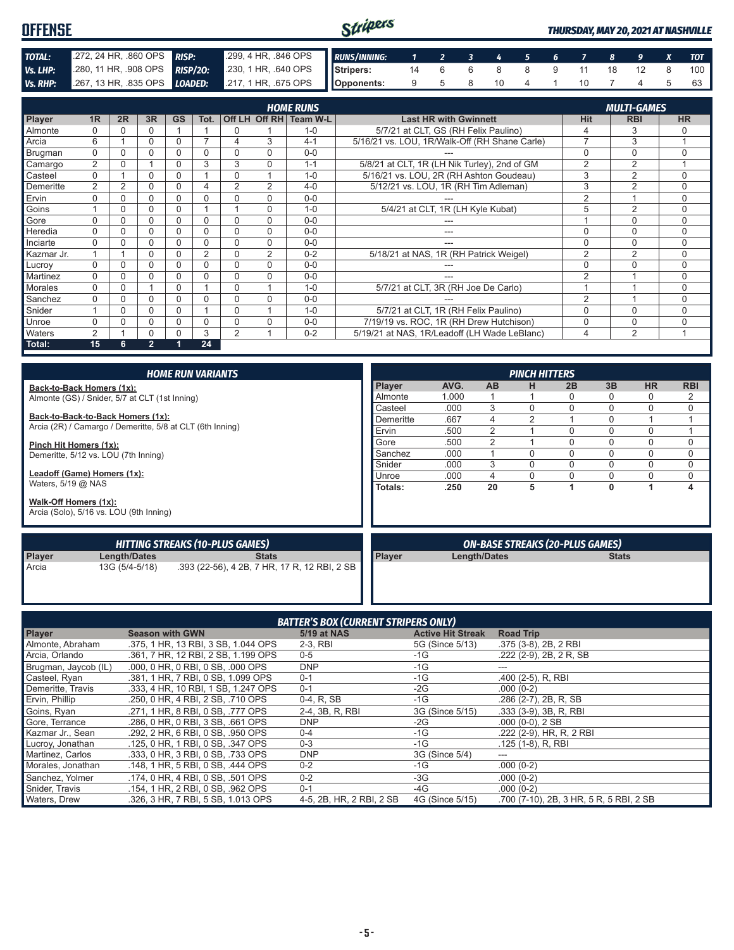| <b>OFFENSE</b>  |                                                                         | Stripers                                              |  |  |                               |  |      | <b>THURSDAY, MAY 20, 2021 AT NASHVILLE</b> |                    |
|-----------------|-------------------------------------------------------------------------|-------------------------------------------------------|--|--|-------------------------------|--|------|--------------------------------------------|--------------------|
| TOTAL:          | 272, 24 HR, 860 OPS RISP:                                               | 7 299, 4 HR, 846 OPS RUNS/INNING: 1 2 3 4 5 6 7 8 9 X |  |  |                               |  |      |                                            | $\blacksquare$ TOT |
| Vs. LHP:        | 280, 11 HR, 908 OPS RISP/20: 230, 1 HR, 640 OPS Stripers:               |                                                       |  |  | 14  6  6  8  8  9  11  18  12 |  |      |                                            | $100$              |
| <b>Vs. RHP:</b> | 267, 13 HR, 835 OPS <b>LOADED:</b> 217, 1 HR, 675 OPS <b>Opponents:</b> |                                                       |  |  | 9 5 8 10 4                    |  | 10 7 |                                            | 63                 |

|            |                |    |              |           |                |                |                | <b>HOME RUNS</b>       |                                               |                | <b>MULTI-GAMES</b> |           |
|------------|----------------|----|--------------|-----------|----------------|----------------|----------------|------------------------|-----------------------------------------------|----------------|--------------------|-----------|
| Player     | 1 <sub>R</sub> | 2R | 3R           | <b>GS</b> | Tot.           |                |                | Off LH Off RH Team W-L | <b>Last HR with Gwinnett</b>                  | Hit            | <b>RBI</b>         | <b>HR</b> |
| Almonte    | $\Omega$       |    | 0            |           |                | $\Omega$       |                | $1 - 0$                | 5/7/21 at CLT, GS (RH Felix Paulino)          | 4              | 3                  | O         |
| Arcia      | 6              |    | 0            | 0         |                | 4              | 3              | $4 - 1$                | 5/16/21 vs. LOU, 1R/Walk-Off (RH Shane Carle) | $\overline{7}$ | 3                  |           |
| Brugman    | $\Omega$       |    | 0            | 0         |                | $\Omega$       | $\Omega$       | $0 - 0$                |                                               | $\Omega$       | 0                  | $\Omega$  |
| Camargo    | 2              |    |              |           | 3              | 3              | $\Omega$       | $1 - 1$                | 5/8/21 at CLT, 1R (LH Nik Turley), 2nd of GM  | $\overline{2}$ | $\overline{2}$     |           |
| Casteel    | $\Omega$       |    |              |           |                | $\Omega$       |                | $1 - 0$                | 5/16/21 vs. LOU, 2R (RH Ashton Goudeau)       | 3              | $\overline{2}$     | $\Omega$  |
| Demeritte  | 2              | 2  | 0            | 0         | 4              | $\overline{2}$ | 2              | $4 - 0$                | 5/12/21 vs. LOU, 1R (RH Tim Adleman)          | 3              | $\overline{2}$     | $\Omega$  |
| Ervin      | 0              |    | 0            | 0         |                | $\Omega$       | $\Omega$       | $0 - 0$                |                                               | 2              |                    | $\Omega$  |
| Goins      |                |    | 0            | 0         |                |                | $\Omega$       | $1 - 0$                | 5/4/21 at CLT, 1R (LH Kyle Kubat)             | 5              | $\overline{2}$     | $\Omega$  |
| Gore       | U              |    | 0            |           |                | 0              | $\Omega$       | $0 - 0$                |                                               |                | $\Omega$           | $\Omega$  |
| Heredia    | $\Omega$       |    | 0            |           |                | 0              | $\Omega$       | $0 - 0$                | ---                                           | $\mathbf 0$    | 0                  | 0         |
| Inciarte   | $\Omega$       |    | 0            |           |                | $\Omega$       | $\Omega$       | $0 - 0$                |                                               | $\Omega$       | $\Omega$           | $\Omega$  |
| Kazmar Jr. |                |    | 0            |           | $\overline{2}$ | $\Omega$       | $\overline{2}$ | $0 - 2$                | 5/18/21 at NAS, 1R (RH Patrick Weigel)        | $\overline{2}$ | $\overline{2}$     | $\Omega$  |
| Lucroy     | U              |    |              |           |                | $\Omega$       | $\Omega$       | $0 - 0$                |                                               | $\Omega$       | $\Omega$           | $\Omega$  |
| Martinez   | $\Omega$       |    | 0            | 0         | ۵              | 0              | $\Omega$       | $0 - 0$                |                                               | $\overline{2}$ |                    | $\Omega$  |
| Morales    | 0              |    |              | 0         |                | $\Omega$       |                | $1 - 0$                | 5/7/21 at CLT, 3R (RH Joe De Carlo)           |                |                    | $\Omega$  |
| Sanchez    | $\Omega$       |    | 0            | 0         |                | $\Omega$       | $\Omega$       | $0 - 0$                |                                               | $\overline{2}$ |                    | $\Omega$  |
| Snider     |                | U  | 0            |           |                | $\Omega$       | и              | $1 - 0$                | 5/7/21 at CLT, 1R (RH Felix Paulino)          | $\Omega$       | $\Omega$           | $\Omega$  |
| Unroe      | $\Omega$       |    | 0            | 0         | 0              | $\Omega$       | $\Omega$       | $0 - 0$                | 7/19/19 vs. ROC, 1R (RH Drew Hutchison)       | $\Omega$       | 0                  | $\Omega$  |
| Waters     | 2              |    |              |           | 3              | 2              |                | $0 - 2$                | 5/19/21 at NAS, 1R/Leadoff (LH Wade LeBlanc)  | 4              | 2                  |           |
| Total:     | 15             | 6. | $\mathbf{2}$ |           | 24             |                |                |                        |                                               |                |                    |           |

|                                                                  | <b>HOME RUN VARIANTS</b>                     | <b>PINCH HITTERS</b> |       |                     |          |                                        |              |           |            |  |  |  |
|------------------------------------------------------------------|----------------------------------------------|----------------------|-------|---------------------|----------|----------------------------------------|--------------|-----------|------------|--|--|--|
| Back-to-Back Homers (1x):                                        |                                              | Player               | AVG.  | <b>AB</b>           | н        | 2B                                     | 3B           | <b>HR</b> | <b>RBI</b> |  |  |  |
| Almonte (GS) / Snider, 5/7 at CLT (1st Inning)                   |                                              | Almonte              | 1.000 |                     |          | 0                                      | $\Omega$     | 0         | 2          |  |  |  |
|                                                                  |                                              | Casteel              | .000  | 3                   | $\Omega$ | 0                                      | 0            | 0         | $\Omega$   |  |  |  |
| Back-to-Back-to-Back Homers (1x):                                |                                              | Demeritte            | .667  | 4                   | 2        |                                        | $\Omega$     |           |            |  |  |  |
| Arcia (2R) / Camargo / Demeritte, 5/8 at CLT (6th Inning)        |                                              | Ervin                | .500  | 2                   |          | 0                                      | $\Omega$     | $\Omega$  |            |  |  |  |
| Pinch Hit Homers (1x):                                           |                                              | Gore                 | .500  | 2                   |          | 0                                      | $\Omega$     | $\Omega$  | 0          |  |  |  |
| Demeritte, 5/12 vs. LOU (7th Inning)                             |                                              | Sanchez              | .000  |                     | $\Omega$ | 0                                      | $\Omega$     | $\Omega$  | 0          |  |  |  |
|                                                                  |                                              | Snider               | .000  | 3                   | $\Omega$ | 0                                      | $\Omega$     | $\Omega$  | $\Omega$   |  |  |  |
| Leadoff (Game) Homers (1x):                                      |                                              | Unroe                | .000  | 4                   | $\Omega$ | 0                                      | $\Omega$     | $\Omega$  | $\Omega$   |  |  |  |
| Waters, $5/19$ @ NAS                                             |                                              | Totals:              | .250  | 20                  | 5        |                                        | $\mathbf{0}$ |           | 4          |  |  |  |
| Walk-Off Homers (1x):<br>Arcia (Solo), 5/16 vs. LOU (9th Inning) |                                              |                      |       |                     |          |                                        |              |           |            |  |  |  |
|                                                                  | <b>HITTING STREAKS (10-PLUS GAMES)</b>       |                      |       |                     |          | <b>ON-BASE STREAKS (20-PLUS GAMES)</b> |              |           |            |  |  |  |
| Player<br>Length/Dates                                           | <b>Stats</b>                                 | Player               |       | <b>Length/Dates</b> |          |                                        | <b>Stats</b> |           |            |  |  |  |
| Arcia<br>13G (5/4-5/18)                                          | .393 (22-56), 4 2B, 7 HR, 17 R, 12 RBI, 2 SB |                      |       |                     |          |                                        |              |           |            |  |  |  |

| <b>BATTER'S BOX (CURRENT STRIPERS ONLY)</b> |                                     |                          |                          |                                         |
|---------------------------------------------|-------------------------------------|--------------------------|--------------------------|-----------------------------------------|
| <b>Player</b>                               | <b>Season with GWN</b>              | 5/19 at NAS              | <b>Active Hit Streak</b> | <b>Road Trip</b>                        |
| Almonte, Abraham                            | .375, 1 HR, 13 RBI, 3 SB, 1.044 OPS | 2-3. RBI                 | 5G (Since 5/13)          | .375 (3-8), 2B, 2 RBI                   |
| Arcia, Orlando                              | .361, 7 HR, 12 RBI, 2 SB, 1.199 OPS | $0 - 5$                  | $-1G$                    | $.222$ (2-9), 2B, 2R, SB                |
| Brugman, Jaycob (IL)                        | .000, 0 HR, 0 RBI, 0 SB, .000 OPS   | <b>DNP</b>               | $-1G$                    |                                         |
| Casteel, Ryan                               | .381, 1 HR, 7 RBI, 0 SB, 1,099 OPS  | $0 - 1$                  | $-1G$                    | $.400(2-5)$ , R, RBI                    |
| Demeritte, Travis                           | .333, 4 HR, 10 RBI, 1 SB, 1,247 OPS | $0 - 1$                  | $-2G$                    | $.000(0-2)$                             |
| Ervin, Phillip                              | .250, 0 HR, 4 RBI, 2 SB, .710 OPS   | 0-4, R, SB               | $-1G$                    | .286 (2-7), 2B, R, SB                   |
| Goins, Ryan                                 | .271, 1 HR, 8 RBI, 0 SB, .777 OPS   | 2-4, 3B, R, RBI          | 3G (Since 5/15)          | $.333(3-9)$ , 3B, R, RBI                |
| Gore, Terrance                              | .286, 0 HR, 0 RBI, 3 SB, .661 OPS   | <b>DNP</b>               | $-2G$                    | $.000(0-0), 2SB$                        |
| Kazmar Jr., Sean                            | .292, 2 HR, 6 RBI, 0 SB, .950 OPS   | $0 - 4$                  | $-1G$                    | .222 (2-9), HR, R, 2 RBI                |
| Lucroy, Jonathan                            | .125, 0 HR, 1 RBI, 0 SB, .347 OPS   | $0 - 3$                  | $-1G$                    | $.125(1-8)$ , R, RBI                    |
| Martinez, Carlos                            | .333, 0 HR, 3 RBI, 0 SB, .733 OPS   | <b>DNP</b>               | 3G (Since 5/4)           | ---                                     |
| Morales, Jonathan                           | .148, 1 HR, 5 RBI, 0 SB, .444 OPS   | $0 - 2$                  | $-1G$                    | $.000(0-2)$                             |
| Sanchez, Yolmer                             | .174.0 HR.4 RBI.0 SB. .501 OPS      | $0 - 2$                  | $-3G$                    | $.000(0-2)$                             |
| Snider, Travis                              | .154. 1 HR. 2 RBI. 0 SB. .962 OPS   | $0 - 1$                  | -4G                      | $.000(0-2)$                             |
| Waters, Drew                                | .326, 3 HR, 7 RBI, 5 SB, 1.013 OPS  | 4-5, 2B, HR, 2 RBI, 2 SB | 4G (Since 5/15)          | .700 (7-10), 2B, 3 HR, 5 R, 5 RBI, 2 SB |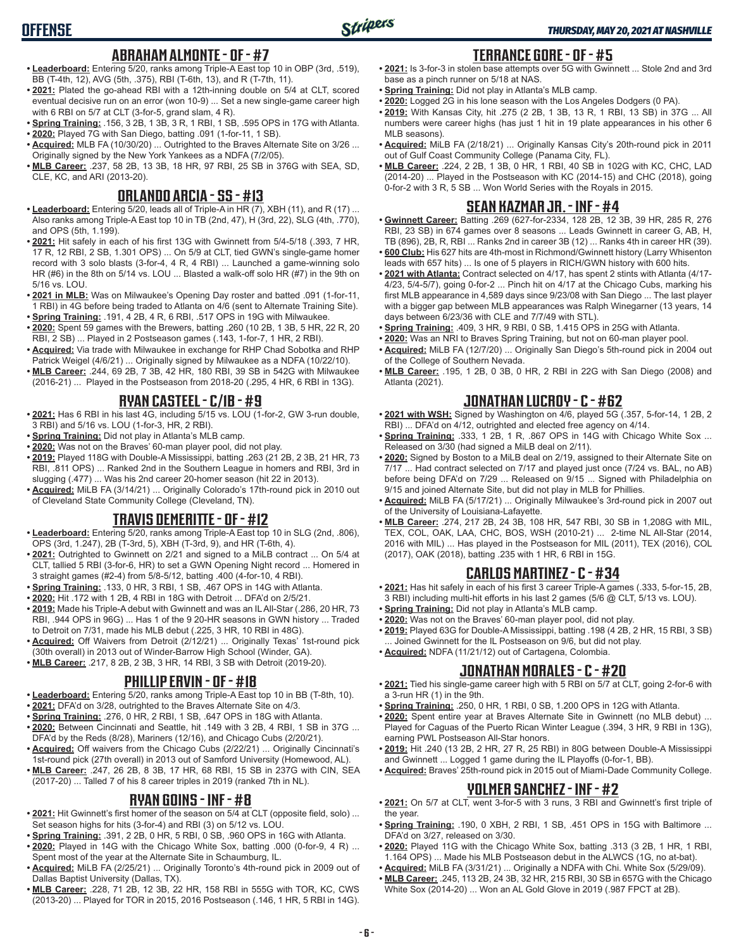## **ABRAHAM ALMONTE - OF - #7**

- **• Leaderboard:** Entering 5/20, ranks among Triple-A East top 10 in OBP (3rd, .519), BB (T-4th, 12), AVG (5th, .375), RBI (T-6th, 13), and R (T-7th, 11).
- **• 2021:** Plated the go-ahead RBI with a 12th-inning double on 5/4 at CLT, scored eventual decisive run on an error (won 10-9) ... Set a new single-game career high with 6 RBI on 5/7 at CLT (3-for-5, grand slam, 4 R).
- **• Spring Training:** .156, 3 2B, 1 3B, 3 R, 1 RBI, 1 SB, .595 OPS in 17G with Atlanta.
- **• 2020:** Played 7G with San Diego, batting .091 (1-for-11, 1 SB). **• Acquired:** MLB FA (10/30/20) ... Outrighted to the Braves Alternate Site on 3/26 ...
- Originally signed by the New York Yankees as a NDFA (7/2/05). **• MLB Career:** .237, 58 2B, 13 3B, 18 HR, 97 RBI, 25 SB in 376G with SEA, SD, CLE, KC, and ARI (2013-20).

#### **ORLANDO ARCIA - SS - #13**

- **• Leaderboard:** Entering 5/20, leads all of Triple-A in HR (7), XBH (11), and R (17) ... Also ranks among Triple-A East top 10 in TB (2nd, 47), H (3rd, 22), SLG (4th, .770), and OPS (5th, 1.199).
- **• 2021:** Hit safely in each of his first 13G with Gwinnett from 5/4-5/18 (.393, 7 HR, 17 R, 12 RBI, 2 SB, 1.301 OPS) ... On 5/9 at CLT, tied GWN's single-game homer record with 3 solo blasts (3-for-4, 4 R, 4 RBI) ... Launched a game-winning solo HR (#6) in the 8th on 5/14 vs. LOU ... Blasted a walk-off solo HR (#7) in the 9th on 5/16 vs. LOU.
- **• 2021 in MLB:** Was on Milwaukee's Opening Day roster and batted .091 (1-for-11, 1 RBI) in 4G before being traded to Atlanta on 4/6 (sent to Alternate Training Site).
- **• Spring Training:** .191, 4 2B, 4 R, 6 RBI, .517 OPS in 19G with Milwaukee.
- **• 2020:** Spent 59 games with the Brewers, batting .260 (10 2B, 1 3B, 5 HR, 22 R, 20 RBI, 2 SB) ... Played in 2 Postseason games (.143, 1-for-7, 1 HR, 2 RBI).
- **• Acquired:** Via trade with Milwaukee in exchange for RHP Chad Sobotka and RHP Patrick Weigel (4/6/21) ... Originally signed by Milwaukee as a NDFA (10/22/10).
- **• MLB Career:** .244, 69 2B, 7 3B, 42 HR, 180 RBI, 39 SB in 542G with Milwaukee (2016-21) ... Played in the Postseason from 2018-20 (.295, 4 HR, 6 RBI in 13G).

### **RYAN CASTEEL - C/1B - #9**

- **• 2021:** Has 6 RBI in his last 4G, including 5/15 vs. LOU (1-for-2, GW 3-run double, 3 RBI) and 5/16 vs. LOU (1-for-3, HR, 2 RBI).
- **• Spring Training:** Did not play in Atlanta's MLB camp.
- **• 2020:** Was not on the Braves' 60-man player pool, did not play.
- **• 2019:** Played 118G with Double-A Mississippi, batting .263 (21 2B, 2 3B, 21 HR, 73 RBI, .811 OPS) ... Ranked 2nd in the Southern League in homers and RBI, 3rd in slugging (.477) ... Was his 2nd career 20-homer season (hit 22 in 2013).
- **• Acquired:** MiLB FA (3/14/21) ... Originally Colorado's 17th-round pick in 2010 out of Cleveland State Community College (Cleveland, TN).

## **TRAVIS DEMERITTE - OF - #12**

- **• Leaderboard:** Entering 5/20, ranks among Triple-A East top 10 in SLG (2nd, .806), OPS (3rd, 1.247), 2B (T-3rd, 5), XBH (T-3rd, 9), and HR (T-6th, 4).
- **• 2021:** Outrighted to Gwinnett on 2/21 and signed to a MiLB contract ... On 5/4 at CLT, tallied 5 RBI (3-for-6, HR) to set a GWN Opening Night record ... Homered in 3 straight games (#2-4) from 5/8-5/12, batting .400 (4-for-10, 4 RBI).
- **• Spring Training:** .133, 0 HR, 3 RBI, 1 SB, .467 OPS in 14G with Atlanta.
- **• 2020:** Hit .172 with 1 2B, 4 RBI in 18G with Detroit ... DFA'd on 2/5/21.
- **• 2019:** Made his Triple-A debut with Gwinnett and was an IL All-Star (.286, 20 HR, 73 RBI, .944 OPS in 96G) ... Has 1 of the 9 20-HR seasons in GWN history ... Traded to Detroit on 7/31, made his MLB debut (.225, 3 HR, 10 RBI in 48G).
- **• Acquired:** Off Waivers from Detroit (2/12/21) ... Originally Texas' 1st-round pick (30th overall) in 2013 out of Winder-Barrow High School (Winder, GA).
- **• MLB Career:** .217, 8 2B, 2 3B, 3 HR, 14 RBI, 3 SB with Detroit (2019-20).

#### **PHILLIP ERVIN - OF - #18**

- **• Leaderboard:** Entering 5/20, ranks among Triple-A East top 10 in BB (T-8th, 10).
- **• 2021:** DFA'd on 3/28, outrighted to the Braves Alternate Site on 4/3.
- **• Spring Training:** .276, 0 HR, 2 RBI, 1 SB, .647 OPS in 18G with Atlanta.
- **• 2020:** Between Cincinnati and Seattle, hit .149 with 3 2B, 4 RBI, 1 SB in 37G ... DFA'd by the Reds (8/28), Mariners (12/16), and Chicago Cubs (2/20/21).
- **• Acquired:** Off waivers from the Chicago Cubs (2/22/21) ... Originally Cincinnati's 1st-round pick (27th overall) in 2013 out of Samford University (Homewood, AL).
- **• MLB Career:** .247, 26 2B, 8 3B, 17 HR, 68 RBI, 15 SB in 237G with CIN, SEA (2017-20) ... Talled 7 of his 8 career triples in 2019 (ranked 7th in NL).

#### **RYAN GOINS - INF - #8**

- **• 2021:** Hit Gwinnett's first homer of the season on 5/4 at CLT (opposite field, solo) ... Set season highs for hits (3-for-4) and RBI (3) on 5/12 vs. LOU.
- **• Spring Training:** .391, 2 2B, 0 HR, 5 RBI, 0 SB, .960 OPS in 16G with Atlanta.
- **• 2020:** Played in 14G with the Chicago White Sox, batting .000 (0-for-9, 4 R) ...
- Spent most of the year at the Alternate Site in Schaumburg, IL. **• Acquired:** MiLB FA (2/25/21) ... Originally Toronto's 4th-round pick in 2009 out of Dallas Baptist University (Dallas, TX).
- **• MLB Career:** .228, 71 2B, 12 3B, 22 HR, 158 RBI in 555G with TOR, KC, CWS (2013-20) ... Played for TOR in 2015, 2016 Postseason (.146, 1 HR, 5 RBI in 14G).

#### **TERRANCE GORE - OF - #5**

- **• 2021:** Is 3-for-3 in stolen base attempts over 5G with Gwinnett ... Stole 2nd and 3rd base as a pinch runner on 5/18 at NAS.
	- **• Spring Training:** Did not play in Atlanta's MLB camp.
	- **• 2020:** Logged 2G in his lone season with the Los Angeles Dodgers (0 PA).
	- **• 2019:** With Kansas City, hit .275 (2 2B, 1 3B, 13 R, 1 RBI, 13 SB) in 37G ... All numbers were career highs (has just 1 hit in 19 plate appearances in his other 6 MLB seasons).
	- **• Acquired:** MiLB FA (2/18/21) ... Originally Kansas City's 20th-round pick in 2011 out of Gulf Coast Community College (Panama City, FL).
	- **• MLB Career:** .224, 2 2B, 1 3B, 0 HR, 1 RBI, 40 SB in 102G with KC, CHC, LAD (2014-20) ... Played in the Postseason with KC (2014-15) and CHC (2018), going 0-for-2 with 3 R, 5 SB ... Won World Series with the Royals in 2015.

### **SEAN KAZMAR JR. - INF - #4**

- **• Gwinnett Career:** Batting .269 (627-for-2334, 128 2B, 12 3B, 39 HR, 285 R, 276 RBI, 23 SB) in 674 games over 8 seasons ... Leads Gwinnett in career G, AB, H, TB (896), 2B, R, RBI ... Ranks 2nd in career 3B (12) ... Ranks 4th in career HR (39).
- **• 600 Club:** His 627 hits are 4th-most in Richmond/Gwinnett history (Larry Whisenton leads with 657 hits) ... Is one of 5 players in RICH/GWN history with 600 hits.
- **• 2021 with Atlanta:** Contract selected on 4/17, has spent 2 stints with Atlanta (4/17- 4/23, 5/4-5/7), going 0-for-2 ... Pinch hit on 4/17 at the Chicago Cubs, marking his first MLB appearance in 4,589 days since 9/23/08 with San Diego ... The last player with a bigger gap between MLB appearances was Ralph Winegarner (13 years, 14 days between 6/23/36 with CLE and 7/7/49 with STL).
- **• Spring Training:** .409, 3 HR, 9 RBI, 0 SB, 1.415 OPS in 25G with Atlanta.
- **• 2020:** Was an NRI to Braves Spring Training, but not on 60-man player pool.
- **• Acquired:** MiLB FA (12/7/20) ... Originally San Diego's 5th-round pick in 2004 out of the College of Southern Nevada.
- **• MLB Career:** .195, 1 2B, 0 3B, 0 HR, 2 RBI in 22G with San Diego (2008) and Atlanta (2021).

#### **JONATHAN LUCROY - C - #62**

- **• 2021 with WSH:** Signed by Washington on 4/6, played 5G (.357, 5-for-14, 1 2B, 2 RBI) ... DFA'd on 4/12, outrighted and elected free agency on 4/14.
- **• Spring Training:** .333, 1 2B, 1 R, .867 OPS in 14G with Chicago White Sox ... Released on 3/30 (had signed a MiLB deal on 2/11).
- **• 2020:** Signed by Boston to a MiLB deal on 2/19, assigned to their Alternate Site on 7/17 ... Had contract selected on 7/17 and played just once (7/24 vs. BAL, no AB) before being DFA'd on 7/29 ... Released on 9/15 ... Signed with Philadelphia on 9/15 and joined Alternate Site, but did not play in MLB for Phillies.
- **• Acquired:** MiLB FA (5/17/21) ... Originally Milwaukee's 3rd-round pick in 2007 out of the University of Louisiana-Lafayette.
- **• MLB Career:** .274, 217 2B, 24 3B, 108 HR, 547 RBI, 30 SB in 1,208G with MIL, TEX, COL, OAK, LAA, CHC, BOS, WSH (2010-21) ... 2-time NL All-Star (2014, 2016 with MIL) ... Has played in the Postseason for MIL (2011), TEX (2016), COL (2017), OAK (2018), batting .235 with 1 HR, 6 RBI in 15G.

#### **CARLOS MARTINEZ - C - #34**

- **• 2021:** Has hit safely in each of his first 3 career Triple-A games (.333, 5-for-15, 2B, 3 RBI) including multi-hit efforts in his last 2 games (5/6 @ CLT, 5/13 vs. LOU).
- **• Spring Training:** Did not play in Atlanta's MLB camp.
- **• 2020:** Was not on the Braves' 60-man player pool, did not play.
- **• 2019:** Played 63G for Double-A Mississippi, batting .198 (4 2B, 2 HR, 15 RBI, 3 SB) Joined Gwinnett for the IL Postseason on 9/6, but did not play.
- **• Acquired:** NDFA (11/21/12) out of Cartagena, Colombia.

#### **JONATHAN MORALES - C - #20**

- **• 2021:** Tied his single-game career high with 5 RBI on 5/7 at CLT, going 2-for-6 with a 3-run HR (1) in the 9th.
- **• Spring Training:** .250, 0 HR, 1 RBI, 0 SB, 1.200 OPS in 12G with Atlanta.
- **• 2020:** Spent entire year at Braves Alternate Site in Gwinnett (no MLB debut) ... Played for Caguas of the Puerto Rican Winter League (.394, 3 HR, 9 RBI in 13G), earning PWL Postseason All-Star honors.
- **• 2019:** Hit .240 (13 2B, 2 HR, 27 R, 25 RBI) in 80G between Double-A Mississippi and Gwinnett ... Logged 1 game during the IL Playoffs (0-for-1, BB).
- **• Acquired:** Braves' 25th-round pick in 2015 out of Miami-Dade Community College.

#### **YOLMER SANCHEZ - INF - #2**

- **• 2021:** On 5/7 at CLT, went 3-for-5 with 3 runs, 3 RBI and Gwinnett's first triple of the year.
- **• Spring Training:** .190, 0 XBH, 2 RBI, 1 SB, .451 OPS in 15G with Baltimore ... DFA'd on 3/27, released on 3/30.
- **• 2020:** Played 11G with the Chicago White Sox, batting .313 (3 2B, 1 HR, 1 RBI, 1.164 OPS) ... Made his MLB Postseason debut in the ALWCS (1G, no at-bat).
- **• Acquired:** MiLB FA (3/31/21) ... Originally a NDFA with Chi. White Sox (5/29/09). **• MLB Career:** .245, 113 2B, 24 3B, 32 HR, 215 RBI, 30 SB in 657G with the Chicago
- White Sox (2014-20) ... Won an AL Gold Glove in 2019 (.987 FPCT at 2B).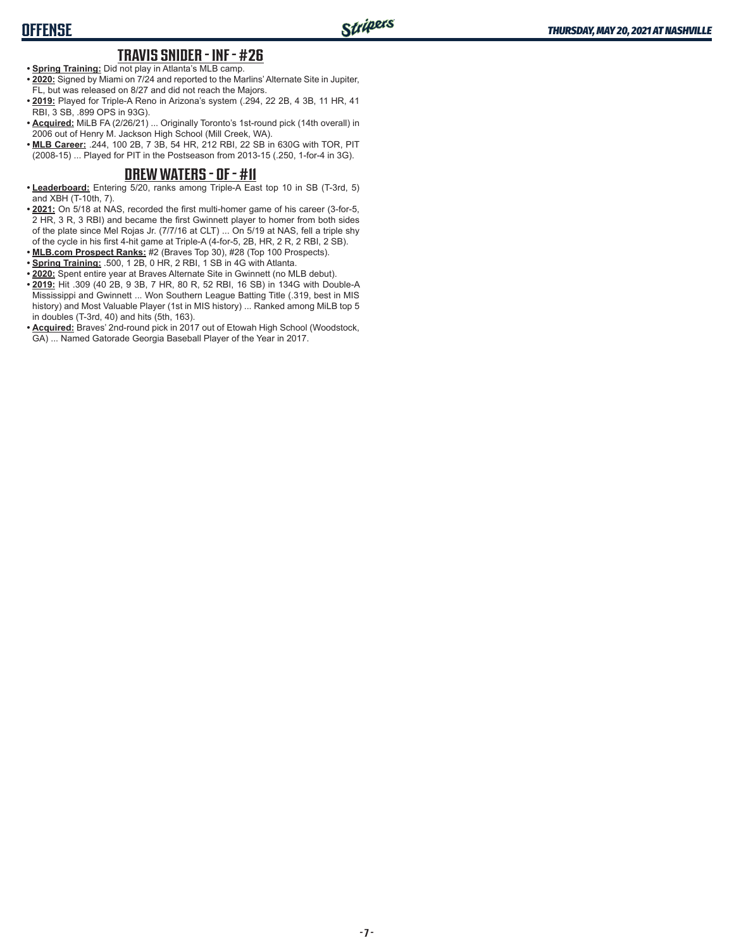# **TRAVIS SNIDER - INF - #26**

- **• Spring Training:** Did not play in Atlanta's MLB camp.
- **• 2020:** Signed by Miami on 7/24 and reported to the Marlins' Alternate Site in Jupiter, FL, but was released on 8/27 and did not reach the Majors.
- **• 2019:** Played for Triple-A Reno in Arizona's system (.294, 22 2B, 4 3B, 11 HR, 41 RBI, 3 SB, .899 OPS in 93G).
- **• Acquired:** MiLB FA (2/26/21) ... Originally Toronto's 1st-round pick (14th overall) in 2006 out of Henry M. Jackson High School (Mill Creek, WA).
- **• MLB Career:** .244, 100 2B, 7 3B, 54 HR, 212 RBI, 22 SB in 630G with TOR, PIT (2008-15) ... Played for PIT in the Postseason from 2013-15 (.250, 1-for-4 in 3G).

#### **DREW WATERS - OF - #11**

- **• Leaderboard:** Entering 5/20, ranks among Triple-A East top 10 in SB (T-3rd, 5) and XBH (T-10th, 7).
- **• 2021:** On 5/18 at NAS, recorded the first multi-homer game of his career (3-for-5, 2 HR, 3 R, 3 RBI) and became the first Gwinnett player to homer from both sides of the plate since Mel Rojas Jr. (7/7/16 at CLT) ... On 5/19 at NAS, fell a triple shy of the cycle in his first 4-hit game at Triple-A (4-for-5, 2B, HR, 2 R, 2 RBI, 2 SB).
- **• MLB.com Prospect Ranks:** #2 (Braves Top 30), #28 (Top 100 Prospects).
- **• Spring Training:** .500, 1 2B, 0 HR, 2 RBI, 1 SB in 4G with Atlanta.
- **• 2020:** Spent entire year at Braves Alternate Site in Gwinnett (no MLB debut).
- **• 2019:** Hit .309 (40 2B, 9 3B, 7 HR, 80 R, 52 RBI, 16 SB) in 134G with Double-A Mississippi and Gwinnett ... Won Southern League Batting Title (.319, best in MIS history) and Most Valuable Player (1st in MIS history) ... Ranked among MiLB top 5 in doubles (T-3rd, 40) and hits (5th, 163).
- **• Acquired:** Braves' 2nd-round pick in 2017 out of Etowah High School (Woodstock, GA) ... Named Gatorade Georgia Baseball Player of the Year in 2017.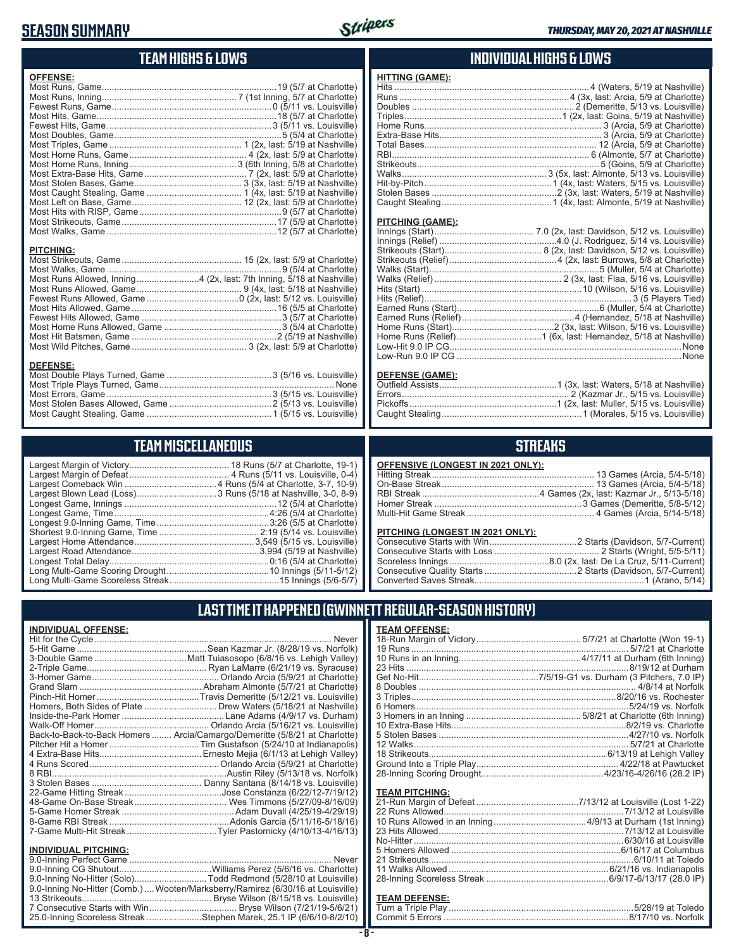# **SEASON SUMMARY**



# **TEAM HIGHS & LOWS**

| <b>PITCHING:</b><br>Most Runs Allowed, Inning 4 (2x, last: 7th Inning, 5/18 at Nashville) | <b>OFFENSE:</b> |
|-------------------------------------------------------------------------------------------|-----------------|
|                                                                                           |                 |

#### **TEAM MISCELLANEOUS**

Most Stolen Bases Allowed, Game .........................................2 (5/13 vs. Louisville) Most Caught Stealing, Game ..................................................1 (5/15 vs. Louisville)

### **INDIVIDUAL HIGHS & LOWS**

| <b>HITTING (GAME):</b> |  |
|------------------------|--|
|                        |  |
|                        |  |
|                        |  |
|                        |  |
|                        |  |
|                        |  |
|                        |  |
|                        |  |
|                        |  |
|                        |  |
|                        |  |
|                        |  |
|                        |  |

#### **PITCHING (GAME):**

#### **DEFENSE (GAME):**

## **STREAKS**

| <b>OFFENSIVE (LONGEST IN 2021 ONLY):</b> |  |
|------------------------------------------|--|
|                                          |  |
|                                          |  |
|                                          |  |
|                                          |  |
|                                          |  |
|                                          |  |

#### **PITCHING (LONGEST IN 2021 ONLY):**

# **LAST TIME IT HAPPENED (GWINNETT REGULAR-SEASON HISTORY)**

| <b>INDIVIDUAL OFFENSE:</b><br>Never<br>Homers, Both Sides of Plate  Drew Waters (5/18/21 at Nashville)<br>Back-to-Back-to-Back Homers  Arcia/Camargo/Demeritte (5/8/21 at Charlotte) |
|--------------------------------------------------------------------------------------------------------------------------------------------------------------------------------------|
|                                                                                                                                                                                      |
|                                                                                                                                                                                      |
|                                                                                                                                                                                      |
|                                                                                                                                                                                      |
|                                                                                                                                                                                      |
| 7-Game Multi-Hit StreakTyler Pastornicky (4/10/13-4/16/13)                                                                                                                           |
| <b>INDIVIDUAL PITCHING:</b>                                                                                                                                                          |
| Never<br>9.0-Inning No-Hitter (Solo)Todd Redmond (5/28/10 at Louisville)                                                                                                             |
| 9.0-Inning No-Hitter (Comb.)  Wooten/Marksberry/Ramirez (6/30/16 at Louisville)                                                                                                      |

25.0-Inning Scoreless Streak ......................Stephen Marek, 25.1 IP (6/6/10-8/2/10)

# **TEAM DEFENSE:**